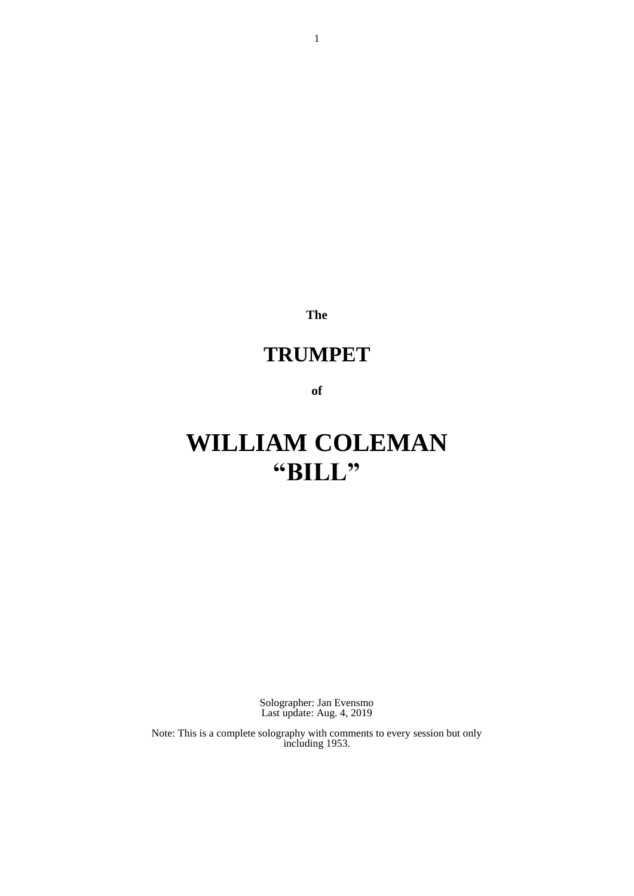**The**

# **TRUMPET**

**of**

# **WILLIAM COLEMAN "BILL"**

Solographer: Jan Evensmo Last update: Aug. 4, 2019

Note: This is a complete solography with comments to every session but only including 1953.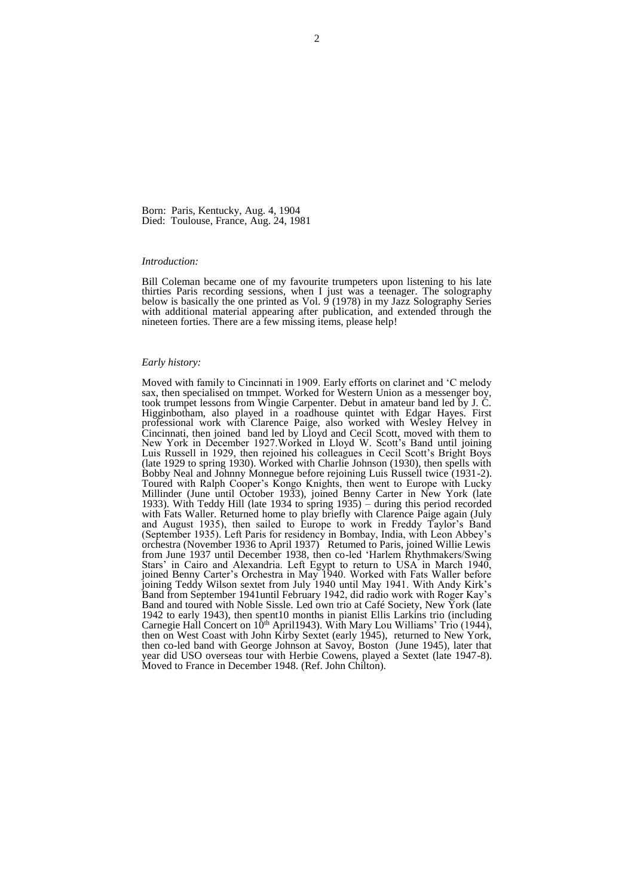Born: Paris, Kentucky, Aug. 4, 1904 Died: Toulouse, France, Aug. 24, 1981

#### *Introduction:*

Bill Coleman became one of my favourite trumpeters upon listening to his late thirties Paris recording sessions, when I just was a teenager. The solography below is basically the one printed as Vol.  $\frac{9}{9}$  (1978) in my Jazz Solography Series with additional material appearing after publication, and extended through the nineteen forties. There are a few missing items, please help!

#### *Early history:*

Moved with family to Cincinnati in 1909. Early efforts on clarinet and 'C melody sax, then specialised on tmmpet. Worked for Western Union as a messenger boy, took trumpet lessons from Wingie Carpenter. Debut in amateur band led by J. C. Higginbotham, also played in a roadhouse quintet with Edgar Hayes. First professional work with Clarence Paige, also worked with Wesley Helvey in Cincinnati, then joined band led by Lloyd and Cecil Scott, moved with them to New York in December 1927.Worked in Lloyd W. Scott's Band until joining Luis Russell in 1929, then rejoined his colleagues in Cecil Scott's Bright Boys (late 1929 to spring 1930). Worked with Charlie Johnson (1930), then spells with Bobby Neal and Johnny Monnegue before rejoining Luis Russell twice (1931-2). Toured with Ralph Cooper's Kongo Knights, then went to Europe with Lucky Millinder (June until October 1933), joined Benny Carter in New York (late 1933). With Teddy Hill (late 1934 to spring 1935) – during this period recorded with Fats Waller. Returned home to play briefly with Clarence Paige again (July and August 1935), then sailed to Europe to work in Freddy Taylor's Band (September 1935). Left Paris for residency in Bombay, India, with Leon Abbey's orchestra (November 1936 to April 1937) Retumed to Paris, joined Willie Lewis from June 1937 until December 1938, then co-led 'Harlem Rhythmakers/Swing Stars' in Cairo and Alexandria. Left Egypt to return to USA in March 1940, joined Benny Carter's Orchestra in May 1940. Worked with Fats Waller before joining Teddy Wilson sextet from July 1940 until May 1941. With Andy Kirk's Band from September 1941until February 1942, did radio work with Roger Kay's Band and toured with Noble Sissle. Led own trio at Café Society, New York (late 1942 to early 1943), then spent10 months in pianist Ellis Larkins trio (including Carnegie Hall Concert on 10th April1943). With Mary Lou Williams' Trio (1944), then on West Coast with John Kirby Sextet (early 1945), returned to New York, then co-led band with George Johnson at Savoy, Boston (June 1945), later that year did USO overseas tour with Herbie Cowens, played a Sextet (late 1947-8). Moved to France in December 1948. (Ref. John Chilton).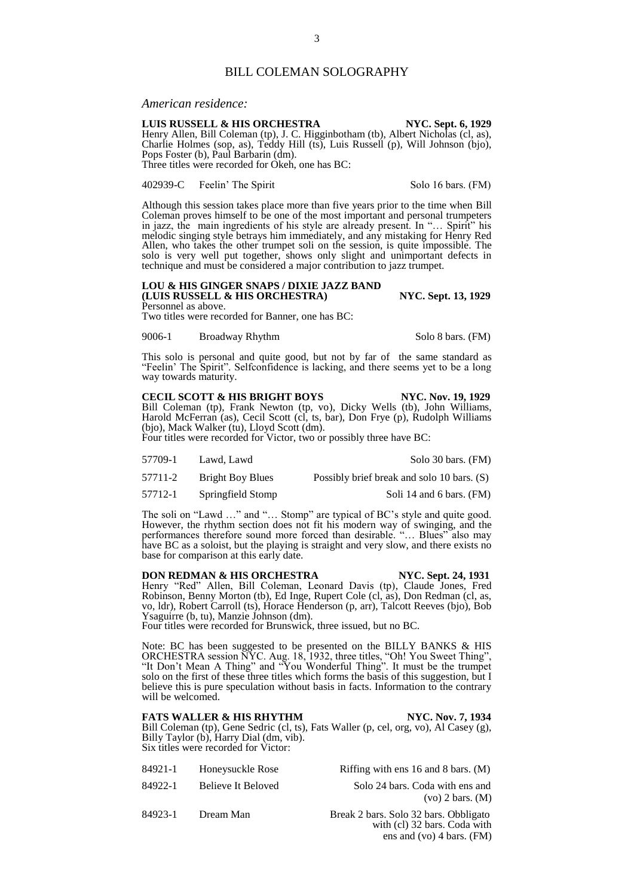### *American residence:*

# **LUIS RUSSELL & HIS ORCHESTRA NYC. Sept. 6, 1929**

Henry Allen, Bill Coleman (tp), J. C. Higginbotham (tb), Albert Nicholas (cl, as), Charlie Holmes (sop, as), Teddy Hill (ts), Luis Russell (p), Will Johnson (bjo), Pops Foster (b), Paul Barbarin (dm). Three titles were recorded for Okeh, one has BC:

402939-C Feelin' The Spirit Solo 16 bars. (FM)

Although this session takes place more than five years prior to the time when Bill Coleman proves himself to be one of the most important and personal trumpeters in jazz, the main ingredients of his style are already present. In "… Spirit" his melodic singing style betrays him immediately, and any mistaking for Henry Red Allen, who takes the other trumpet soli on the session, is quite impossible. The solo is very well put together, shows only slight and unimportant defects in technique and must be considered a major contribution to jazz trumpet.

#### **LOU & HIS GINGER SNAPS / DIXIE JAZZ BAND (LUIS RUSSELL & HIS ORCHESTRA) NYC. Sept. 13, 1929** Personnel as above.

Two titles were recorded for Banner, one has BC:

9006-1 Broadway Rhythm Solo 8 bars. (FM)

This solo is personal and quite good, but not by far of the same standard as "Feelin' The Spirit". Selfconfidence is lacking, and there seems yet to be a long way towards maturity.

#### **CECIL SCOTT & HIS BRIGHT BOYS NYC. Nov. 19, 1929** Bill Coleman (tp), Frank Newton (tp, vo), Dicky Wells (tb), John Williams, Harold McFerran (as), Cecil Scott (cl, ts, bar), Don Frye (p), Rudolph Williams (bjo), Mack Walker (tu), Lloyd Scott (dm). Four titles were recorded for Victor, two or possibly three have BC:

57709-1 Lawd, Lawd Solo 30 bars. (FM)

57711-2 Bright Boy Blues Possibly brief break and solo 10 bars. (S)

57712-1 Springfield Stomp Soli 14 and 6 bars. (FM)

The soli on "Lawd …" and "… Stomp" are typical of BC's style and quite good. However, the rhythm section does not fit his modern way of swinging, and the performances therefore sound more forced than desirable. "... Blues" also may have BC as a soloist, but the playing is straight and very slow, and there exists no base for comparison at this early date.

**DON REDMAN & HIS ORCHESTRA NYC. Sept. 24, 1931** Henry "Red" Allen, Bill Coleman, Leonard Davis (tp), Claude Jones, Fred Robinson, Benny Morton (tb), Ed Inge, Rupert Cole (cl, as), Don Redman (cl, as, vo, ldr), Robert Carroll (ts), Horace Henderson (p, arr), Talcott Reeves (bjo), Bob Ysaguirre (b, tu), Manzie Johnson (dm).

Four titles were recorded for Brunswick, three issued, but no BC.

Note: BC has been suggested to be presented on the BILLY BANKS & HIS ORCHESTRA session NYC. Aug. 18, 1932, three titles, "Oh! You Sweet Thing", "It Don't Mean A Thing" and "You Wonderful Thing". It must be the trumpet solo on the first of these three titles which forms the basis of this suggestion, but I believe this is pure speculation without basis in facts. Information to the contrary will be welcomed.

### **FATS WALLER & HIS RHYTHM NYC. Nov. 7, 1934**

Bill Coleman (tp), Gene Sedric (cl, ts), Fats Waller (p, cel, org, vo), Al Casey (g), Billy Taylor (b), Harry Dial (dm, vib). Six titles were recorded for Victor:

- 84921-1 Honeysuckle Rose Riffing with ens 16 and 8 bars. (M)
- 

84922-1 Believe It Beloved Solo 24 bars. Coda with ens and (vo) 2 bars. (M)

84923-1 Dream Man Break 2 bars. Solo 32 bars. Obbligato with (cl) 32 bars. Coda with ens and (vo) 4 bars. (FM)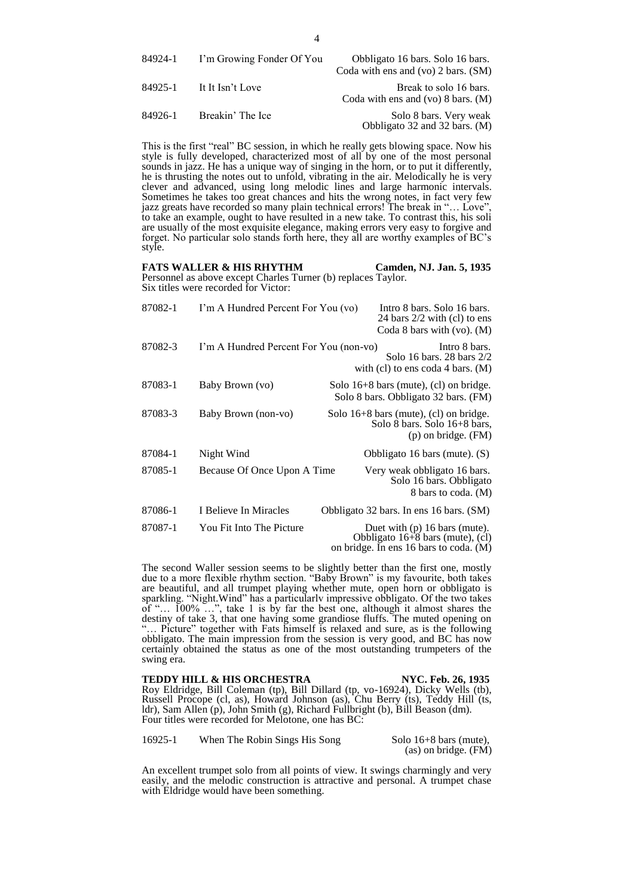This is the first "real" BC session, in which he really gets blowing space. Now his style is fully developed, characterized most of all by one of the most personal sounds in jazz. He has a unique way of singing in the horn, or to put it differently, he is thrusting the notes out to unfold, vibrating in the air. Melodically he is very clever and advanced, using long melodic lines and large harmonic intervals. Sometimes he takes too great chances and hits the wrong notes, in fact very few jazz greats have recorded so many plain technical errors! The break in "… Love", to take an example, ought to have resulted in a new take. To contrast this, his soli are usually of the most exquisite elegance, making errors very easy to forgive and forget. No particular solo stands forth here, they all are worthy examples of BC's style.

FATS WALLER & HIS RHYTHM Camden, NJ. Jan. 5, 1935 Personnel as above except Charles Turner (b) replaces Taylor. Six titles were recorded for Victor:

| 87082-1 | I'm A Hundred Percent For You (vo)     | Intro 8 bars. Solo 16 bars.<br>24 bars $2/2$ with (cl) to ens<br>Coda 8 bars with $(vo)$ . $(M)$                |
|---------|----------------------------------------|-----------------------------------------------------------------------------------------------------------------|
| 87082-3 | I'm A Hundred Percent For You (non-vo) | Intro 8 bars.<br>Solo 16 bars. 28 bars 2/2<br>with (cl) to ens coda 4 bars. $(M)$                               |
| 87083-1 | Baby Brown (vo)                        | Solo $16+8$ bars (mute), (cl) on bridge.<br>Solo 8 bars. Obbligato 32 bars. (FM)                                |
| 87083-3 | Baby Brown (non-vo)                    | Solo $16+8$ bars (mute), (cl) on bridge.<br>Solo 8 bars. Solo $16+8$ bars,<br>$(p)$ on bridge. $(FM)$           |
| 87084-1 | Night Wind                             | Obbligato 16 bars (mute). $(S)$                                                                                 |
| 87085-1 | Because Of Once Upon A Time            | Very weak obbligato 16 bars.<br>Solo 16 bars. Obbligato<br>8 bars to coda. (M)                                  |
| 87086-1 | I Believe In Miracles                  | Obbligato 32 bars. In ens 16 bars. (SM)                                                                         |
| 87087-1 | You Fit Into The Picture               | Duet with $(p)$ 16 bars (mute).<br>Obbligato $16+8$ bars (mute), (cl)<br>on bridge. In ens 16 bars to coda. (M) |

The second Waller session seems to be slightly better than the first one, mostly due to a more flexible rhythm section. "Baby Brown" is my favourite, both takes are beautiful, and all trumpet playing whether mute, open horn or obbligato is sparkling. "Night.Wind" has a particularlv impressive obbligato. Of the two takes of "… 100% …", take 1 is by far the best one, although it almost shares the destiny of take 3, that one having some grandiose fluffs. The muted opening on "… Picture" together with Fats himself is relaxed and sure, as is the following obbligato. The main impression from the session is very good, and BC has now certainly obtained the status as one of the most outstanding trumpeters of the swing era.

#### **TEDDY HILL & HIS ORCHESTRA NYC. Feb. 26, 1935** Roy Eldridge, Bill Coleman (tp), Bill Dillard (tp, vo-16924), Dicky Wells (tb), Russell Procope (cl, as), Howard Johnson (as), Chu Berry (ts), Teddy Hill (ts, ldr), Sam Allen (p), John Smith (g), Richard Fullbright (b), Bill Beason (dm). Four titles were recorded for Melotone, one has BC:

| 16925-1 | When The Robin Sings His Song | Solo $16+8$ bars (mute), |
|---------|-------------------------------|--------------------------|
|         |                               | $(as)$ on bridge. $(FM)$ |

An excellent trumpet solo from all points of view. It swings charmingly and very easily, and the melodic construction is attractive and personal. A trumpet chase with Eldridge would have been something.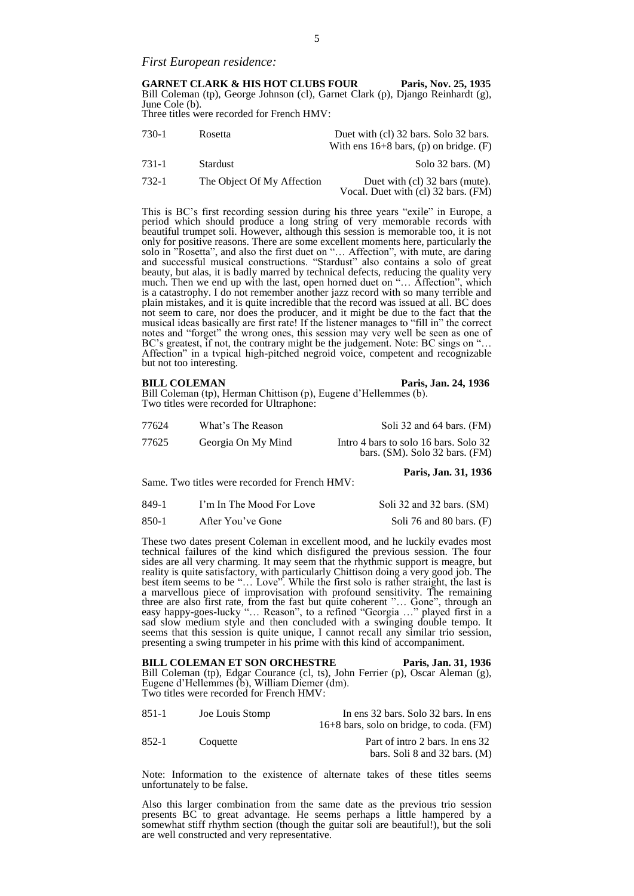*First European residence:*

**GARNET CLARK & HIS HOT CLUBS FOUR Paris, Nov. 25, 1935** Bill Coleman (tp), George Johnson (cl), Garnet Clark (p), Django Reinhardt (g), June Cole (b). Three titles were recorded for French HMV:

730-1 Rosetta Duet with (cl) 32 bars. Solo 32 bars. With ens 16+8 bars, (p) on bridge. (F) 731-1 Stardust Solo 32 bars. (M) 732-1 The Object Of My Affection Duet with (cl) 32 bars (mute). Vocal. Duet with (cl) 32 bars. (FM)

This is BC's first recording session during his three years "exile" in Europe, a period which should produce a long string of very memorable records with beautiful trumpet soli. However, although this session is memorable too, it is not only for positive reasons. There are some excellent moments here, particularly the solo in "Rosetta", and also the first duet on "… Affection", with mute, are daring and successful musical constructions. "Stardust" also contains a solo of great beauty, but alas, it is badly marred by technical defects, reducing the quality very much. Then we end up with the last, open horned duet on "… Affection", which is a catastrophy. I do not remember another jazz record with so many terrible and plain mistakes, and it is quite incredible that the record was issued at all. BC does not seem to care, nor does the producer, and it might be due to the fact that the musical ideas basically are first rate! If the listener manages to "fill in" the correct notes and "forget" the wrong ones, this session may very well be seen as one of BC's greatest, if not, the contrary might be the judgement. Note: BC sings on "... Affection" in a tvpical high-pitched negroid voice, competent and recognizable but not too interesting.

**BILL COLEMAN** Paris, Jan. 24, 1936

Bill Coleman (tp), Herman Chittison (p), Eugene d'Hellemmes (b). Two titles were recorded for Ultraphone:

Same. Two titles were recorded for French HMV:

| 77624 | What's The Reason  | Soli 32 and 64 bars. (FM)                                               |
|-------|--------------------|-------------------------------------------------------------------------|
| 77625 | Georgia On My Mind | Intro 4 bars to solo 16 bars. Solo 32<br>bars. (SM). Solo 32 bars. (FM) |

**Paris, Jan. 31, 1936**

| 849-1 | I'm In The Mood For Love | Soli 32 and 32 bars. (SM)  |
|-------|--------------------------|----------------------------|
| 850-1 | After You've Gone        | Soli 76 and 80 bars. $(F)$ |

These two dates present Coleman in excellent mood, and he luckily evades most technical failures of the kind which disfigured the previous session. The four sides are all very charming. It may seem that the rhythmic support is meagre, but reality is quite satisfactory, with particularly Chittison doing a very good job. The best item seems to be "… Love". While the first solo is rather straight, the last is a marvellous piece of improvisation with profound sensitivity. The remaining three are also first rate, from the fast but quite coherent "… Gone", through an easy happy-goes-lucky "… Reason", to a refined "Georgia …" played first in a sad slow medium style and then concluded with a swinging double tempo. It seems that this session is quite unique, I cannot recall any similar trio session, presenting a swing trumpeter in his prime with this kind of accompaniment.

# **BILL COLEMAN ET SON ORCHESTRE** Paris, Jan. 31, 1936 Bill Coleman (tp), Edgar Courance (cl, ts), John Ferrier (p), Oscar Aleman (g), Eugene d'Hellemmes (b), William Diemer (dm). Two titles were recorded for French HMV:

| 851-1 | Joe Louis Stomp | In ens 32 bars. Solo 32 bars. In ens<br>$16+8$ bars, solo on bridge, to coda. (FM) |
|-------|-----------------|------------------------------------------------------------------------------------|
| 852-1 | Coquette        | Part of intro 2 bars. In ens 32                                                    |
|       |                 | bars. Soli 8 and 32 bars. $(M)$                                                    |

Note: Information to the existence of alternate takes of these titles seems unfortunately to be false.

Also this larger combination from the same date as the previous trio session presents BC to great advantage. He seems perhaps a little hampered by a somewhat stiff rhythm section (though the guitar soli are beautiful!), but the soli are well constructed and very representative.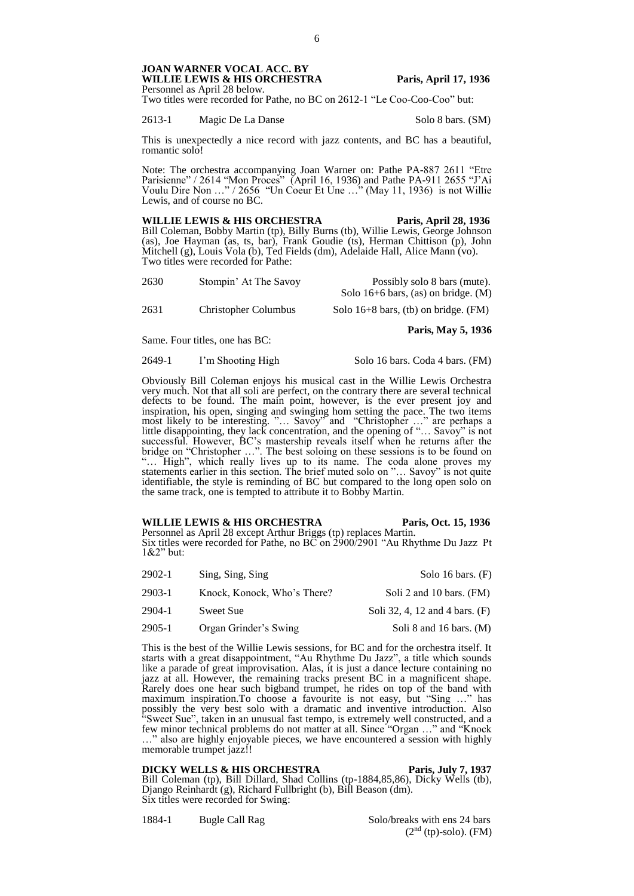Two titles were recorded for Pathe, no BC on 2612-1 "Le Coo-Coo-Coo" but:

2613-1 Magic De La Danse Solo 8 bars. (SM)

This is unexpectedly a nice record with jazz contents, and BC has a beautiful, romantic solo!

Note: The orchestra accompanying Joan Warner on: Pathe PA-887 2611 "Etre Parisienne" / 2614 "Mon Proces" (April 16, 1936) and Pathe PA-911 2655 "J'Ai Voulu Dire Non …" / 2656 "Un Coeur Et Une …" (May 11, 1936) is not Willie Lewis, and of course no BC.

WILLIE LEWIS & HIS ORCHESTRA Paris, April 28, 1936 Bill Coleman, Bobby Martin (tp), Billy Burns (tb), Willie Lewis, George Johnson (as), Joe Hayman (as, ts, bar), Frank Goudie (ts), Herman Chittison (p), John Mitchell (g), Louis Vola (b), Ted Fields (dm), Adelaide Hall, Alice Mann (vo). Two titles were recorded for Pathe:

| 2630 | Stompin' At The Savoy | Possibly solo 8 bars (mute).<br>Solo 16+6 bars, (as) on bridge. $(M)$ |
|------|-----------------------|-----------------------------------------------------------------------|
| 2631 | Christopher Columbus  | Solo $16+8$ bars, (tb) on bridge. (FM)                                |
|      |                       | Paris, May 5, 1936                                                    |

Same. Four titles, one has BC:

2649-1 I'm Shooting High Solo 16 bars. Coda 4 bars. (FM)

Obviously Bill Coleman enjoys his musical cast in the Willie Lewis Orchestra very much. Not that all soli are perfect, on the contrary there are several technical defects to be found. The main point, however, is the ever present joy and inspiration, his open, singing and swinging hom setting the pace. The two items most likely to be interesting. "… Savoy" and "Christopher …" are perhaps a little disappointing, they lack concentration, and the opening of "… Savoy" is not successful. However, BC's mastership reveals itself when he returns after the bridge on "Christopher …". The best soloing on these sessions is to be found on "… High", which really lives up to its name. The coda alone proves my statements earlier in this section. The brief muted solo on "… Savoy" is not quite identifiable, the style is reminding of BC but compared to the long open solo on the same track, one is tempted to attribute it to Bobby Martin.

WILLIE LEWIS & HIS ORCHESTRA Paris, Oct. 15, 1936 Personnel as April 28 except Arthur Briggs (tp) replaces Martin. Six titles were recorded for Pathe, no BC on 2900/2901 "Au Rhythme Du Jazz Pt 1&2" but:

| 2902-1 | Sing, Sing, Sing            | Solo 16 bars. $(F)$            |
|--------|-----------------------------|--------------------------------|
| 2903-1 | Knock, Konock, Who's There? | Soli 2 and 10 bars. (FM)       |
| 2904-1 | Sweet Sue                   | Soli 32, 4, 12 and 4 bars. (F) |
| 2905-1 | Organ Grinder's Swing       | Soli 8 and 16 bars. $(M)$      |

This is the best of the Willie Lewis sessions, for BC and for the orchestra itself. It starts with a great disappointment, "Au Rhythme Du Jazz", a title which sounds like a parade of great improvisation. Alas, it is just a dance lecture containing no jazz at all. However, the remaining tracks present BC in a magnificent shape. Rarely does one hear such bigband trumpet, he rides on top of the band with maximum inspiration.To choose a favourite is not easy, but "Sing …" has possibly the very best solo with a dramatic and inventive introduction. Also "Sweet Sue", taken in an unusual fast tempo, is extremely well constructed, and a few minor technical problems do not matter at all. Since "Organ …" and "Knock …" also are highly enjoyable pieces, we have encountered a session with highly memorable trumpet jazz!!

**DICKY WELLS & HIS ORCHESTRA** Paris, July 7, 1937 Bill Coleman (tp), Bill Dillard, Shad Collins (tp-1884,85,86), Dicky Wells (tb), Django Reinhardt (g), Richard Fullbright (b), Bill Beason (dm). Six titles were recorded for Swing:

1884-1 Bugle Call Rag Solo/breaks with ens 24 bars

 $(2<sup>nd</sup> (tp)-solo)$ . (FM)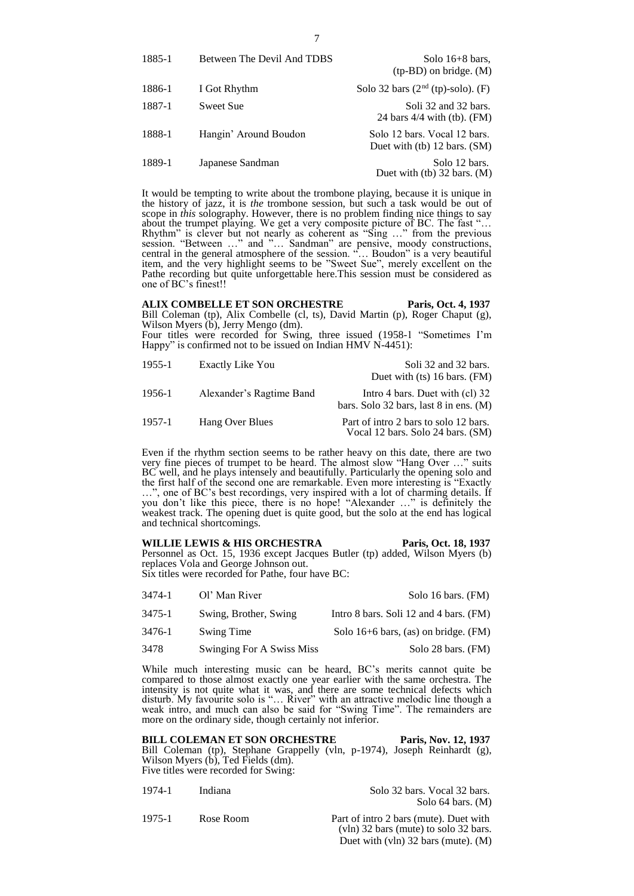| 1885-1 | Between The Devil And TDBS | Solo $16+8$ bars,<br>$(tp-BD)$ on bridge. $(M)$                 |
|--------|----------------------------|-----------------------------------------------------------------|
| 1886-1 | I Got Rhythm               | Solo 32 bars $(2nd (tp)-solo)$ . (F)                            |
| 1887-1 | Sweet Sue                  | Soli 32 and 32 bars.<br>24 bars $4/4$ with (tb). (FM)           |
| 1888-1 | Hangin' Around Boudon      | Solo 12 bars. Vocal 12 bars.<br>Duet with $(b)$ 12 bars. $(SM)$ |
| 1889-1 | Japanese Sandman           | Solo 12 bars.<br>Duet with $(b)$ 32 bars. $(M)$                 |

It would be tempting to write about the trombone playing, because it is unique in the history of jazz, it is *the* trombone session, but such a task would be out of scope in *this* solography. However, there is no problem finding nice things to say about the trumpet playing. We get a very composite picture of BC. The fast "… Rhythm" is clever but not nearly as coherent as "Sing …" from the previous session. "Between …" and "… Sandman" are pensive, moody constructions, central in the general atmosphere of the session. "… Boudon" is a very beautiful item, and the very highlight seems to be "Sweet Sue", merely excellent on the Pathe recording but quite unforgettable here.This session must be considered as one of BC's finest!!

**ALIX COMBELLE ET SON ORCHESTRE Paris, Oct. 4, 1937** Bill Coleman (tp), Alix Combelle (cl, ts), David Martin (p), Roger Chaput (g), Wilson Myers (b), Jerry Mengo (dm).

Four titles were recorded for Swing, three issued (1958-1 "Sometimes I'm Happy" is confirmed not to be issued on Indian HMV N-4451):

| 1955-1 | Exactly Like You         | Soli 32 and 32 bars.<br>Duet with $(ts)$ 16 bars. $(FM)$                    |
|--------|--------------------------|-----------------------------------------------------------------------------|
| 1956-1 | Alexander's Ragtime Band | Intro 4 bars. Duet with (cl) 32<br>bars. Solo 32 bars, last $8$ in ens. (M) |
| 1957-1 | Hang Over Blues          | Part of intro 2 bars to solo 12 bars.<br>Vocal 12 bars. Solo 24 bars. (SM)  |

Even if the rhythm section seems to be rather heavy on this date, there are two very fine pieces of trumpet to be heard. The almost slow "Hang Over …" suits BC well, and he plays intensely and beautifully. Particularly the opening solo and the first half of the second one are remarkable. Even more interesting is "Exactly …", one of BC's best recordings, very inspired with a lot of charming details. If you don't like this piece, there is no hope! "Alexander …" is definitely the weakest track. The opening duet is quite good, but the solo at the end has logical and technical shortcomings.

**WILLIE LEWIS & HIS ORCHESTRA Paris, Oct. 18, 1937** Personnel as Oct. 15, 1936 except Jacques Butler (tp) added, Wilson Myers (b) replaces Vola and George Johnson out. Six titles were recorded for Pathe, four have BC:

3474-1 Ol' Man River Solo 16 bars. (FM) 3475-1 Swing, Brother, Swing Intro 8 bars. Soli 12 and 4 bars. (FM) 3476-1 Swing Time Solo 16+6 bars, (as) on bridge. (FM) 3478 Swinging For A Swiss Miss Solo 28 bars. (FM)

While much interesting music can be heard, BC's merits cannot quite be compared to those almost exactly one year earlier with the same orchestra. The intensity is not quite what it was, and there are some technical defects which disturb. My favourite solo is "… River" with an attractive melodic line though a weak intro, and much can also be said for "Swing Time". The remainders are more on the ordinary side, though certainly not inferior.

**BILL COLEMAN ET SON ORCHESTRE Paris, Nov. 12, 1937** Bill Coleman (tp), Stephane Grappelly (vln, p-1974), Joseph Reinhardt (g), Wilson Myers (b), Ted Fields (dm). Five titles were recorded for Swing:

| 1974-1 | Indiana   | Solo 32 bars. Vocal 32 bars.                                                      |
|--------|-----------|-----------------------------------------------------------------------------------|
|        |           | Solo 64 bars. $(M)$                                                               |
| 1975-1 | Rose Room | Part of intro 2 bars (mute). Duet with<br>$(vln)$ 32 bars (mute) to solo 32 bars. |

Duet with (vln) 32 bars (mute). (M)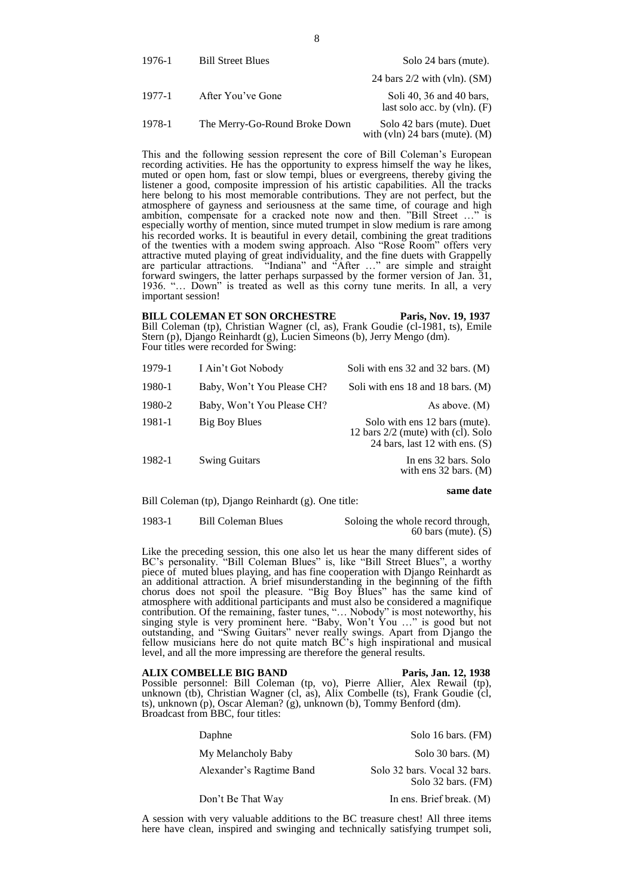| 1976-1 | <b>Bill Street Blues</b>      | Solo 24 bars (mute).                                             |
|--------|-------------------------------|------------------------------------------------------------------|
|        |                               | 24 bars $2/2$ with (vln). (SM)                                   |
| 1977-1 | After You've Gone             | Soli 40, 36 and 40 bars,<br>last solo acc. by $(v\ln)$ . $(F)$   |
| 1978-1 | The Merry-Go-Round Broke Down | Solo 42 bars (mute). Duet<br>with $(v \ln 24$ bars (mute). $(M)$ |

This and the following session represent the core of Bill Coleman's European recording activities. He has the opportunity to express himself the way he likes, muted or open hom, fast or slow tempi, blues or evergreens, thereby giving the listener a good, composite impression of his artistic capabilities. All the tracks here belong to his most memorable contributions. They are not perfect, but the atmosphere of gayness and seriousness at the same time, of courage and high ambition, compensate for a cracked note now and then. "Bill Street …" is especially worthy of mention, since muted trumpet in slow medium is rare among his recorded works. It is beautiful in every detail, combining the great traditions of the twenties with a modem swing approach. Also "Rose Room" offers very attractive muted playing of great individuality, and the fine duets with Grappelly are particular attractions. "Indiana" and "After …" are simple and straight forward swingers, the latter perhaps surpassed by the former version of Jan. 31, 1936. "… Down" is treated as well as this corny tune merits. In all, a very important session!

**BILL COLEMAN ET SON ORCHESTRE** Paris, Nov. 19, 1937 Bill Coleman (tp), Christian Wagner (cl, as), Frank Goudie (cl-1981, ts), Emile Stern (p), Django Reinhardt (g), Lucien Simeons (b), Jerry Mengo (dm). Four titles were recorded for Swing:

| 1979-1 | I Ain't Got Nobody         | Soli with ens 32 and 32 bars. (M)                                                                         |
|--------|----------------------------|-----------------------------------------------------------------------------------------------------------|
| 1980-1 | Baby, Won't You Please CH? | Soli with ens 18 and 18 bars. (M)                                                                         |
| 1980-2 | Baby, Won't You Please CH? | As above. $(M)$                                                                                           |
| 1981-1 | Big Boy Blues              | Solo with ens 12 bars (mute).<br>12 bars $2/2$ (mute) with (cl). Solo<br>24 bars, last 12 with ens. $(S)$ |
| 1982-1 | <b>Swing Guitars</b>       | In ens 32 bars. Solo<br>with ens $32 \text{ bars.}$ (M)                                                   |

**same date**

Bill Coleman (tp), Django Reinhardt (g). One title:

1983-1 Bill Coleman Blues Soloing the whole record through,

60 bars (mute).  $(S)$ 

Like the preceding session, this one also let us hear the many different sides of BC's personality. "Bill Coleman Blues" is, like "Bill Street Blues", a worthy piece of muted blues playing, and has fine cooperation with Django Reinhardt as an additional attraction. A brief misunderstanding in the beginning of the fifth chorus does not spoil the pleasure. "Big Boy Blues" has the same kind of atmosphere with additional participants and must also be considered a magnifique contribution. Of the remaining, faster tunes, "… Nobody" is most noteworthy, his singing style is very prominent here. "Baby, Won't You …" is good but not outstanding, and "Swing Guitars" never really swings. Apart from Django the fellow musicians here do not quite match BC's high inspirational and musical level, and all the more impressing are therefore the general results.

**ALIX COMBELLE BIG BAND Paris, Jan. 12, 1938** Possible personnel: Bill Coleman (tp, vo), Pierre Allier, Alex Rewail (tp), unknown (tb), Christian Wagner (cl, as), Alix Combelle (ts), Frank Goudie (cl, ts), unknown (p), Oscar Aleman? (g), unknown (b), Tommy Benford (dm). Broadcast from BBC, four titles:

| Daphne                   | Solo 16 bars. (FM)                                 |
|--------------------------|----------------------------------------------------|
| My Melancholy Baby       | Solo 30 bars. $(M)$                                |
| Alexander's Ragtime Band | Solo 32 bars. Vocal 32 bars.<br>Solo 32 bars. (FM) |
| Don't Be That Way        | In ens. Brief break. (M)                           |

A session with very valuable additions to the BC treasure chest! All three items here have clean, inspired and swinging and technically satisfying trumpet soli,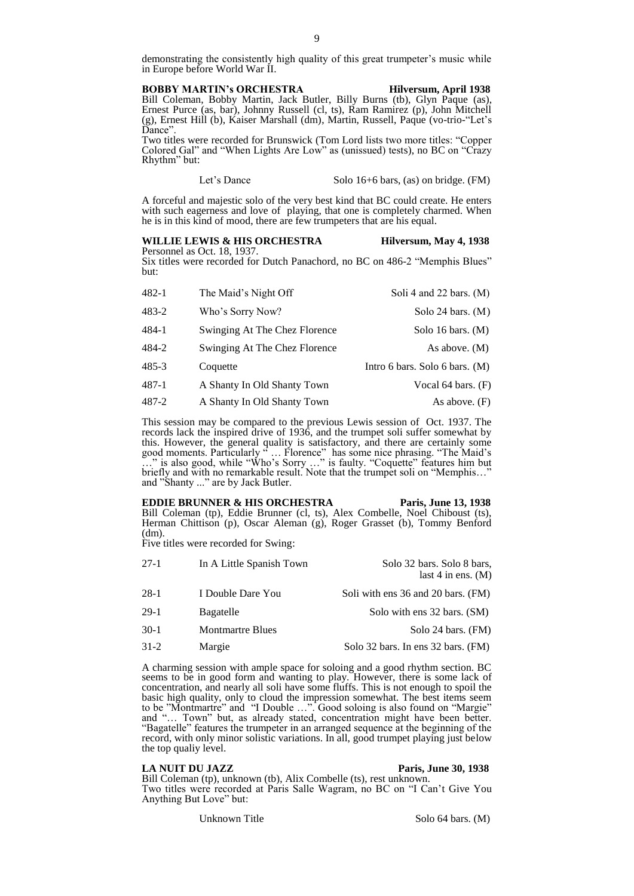demonstrating the consistently high quality of this great trumpeter's music while in Europe before World War II.

#### **BOBBY MARTIN's ORCHESTRA Hilversum, April 1938**

Bill Coleman, Bobby Martin, Jack Butler, Billy Burns (tb), Glyn Paque (as), Ernest Purce (as, bar), Johnny Russell (cl, ts), Ram Ramirez (p), John Mitchell (g), Ernest Hill (b), Kaiser Marshall (dm), Martin, Russell, Paque (vo-trio-"Let's Dance".

Two titles were recorded for Brunswick (Tom Lord lists two more titles: "Copper Colored Gal" and "When Lights Are Low" as (unissued) tests), no BC on "Crazy Rhythm" but:

Let's Dance Solo 16+6 bars, (as) on bridge. (FM)

A forceful and majestic solo of the very best kind that BC could create. He enters with such eagerness and love of playing, that one is completely charmed. When he is in this kind of mood, there are few trumpeters that are his equal.

#### WILLIE LEWIS & HIS ORCHESTRA **Hill Hilversum, May 4, 1938** Personnel as Oct. 18, 1937.

Six titles were recorded for Dutch Panachord, no BC on 486-2 "Memphis Blues" but:

| 482-1 | The Maid's Night Off          | Soli 4 and 22 bars. (M)        |
|-------|-------------------------------|--------------------------------|
| 483-2 | Who's Sorry Now?              | Solo 24 bars. (M)              |
| 484-1 | Swinging At The Chez Florence | Solo 16 bars. $(M)$            |
| 484-2 | Swinging At The Chez Florence | As above. $(M)$                |
| 485-3 | Coquette                      | Intro 6 bars. Solo 6 bars. (M) |
| 487-1 | A Shanty In Old Shanty Town   | Vocal 64 bars. $(F)$           |
| 487-2 | A Shanty In Old Shanty Town   | As above. $(F)$                |

This session may be compared to the previous Lewis session of Oct. 1937. The records lack the inspired drive of 1936, and the trumpet soli suffer somewhat by this. However, the general quality is satisfactory, and there are certainly some good moments. Particularly " … Florence" has some nice phrasing. "The Maid's …" is also good, while "Who's Sorry …" is faulty. "Coquette" features him but briefly and with no remarkable result. Note that the trumpet soli on "Memphis…" and "Shanty ..." are by Jack Butler.

**EDDIE BRUNNER & HIS ORCHESTRA** Paris, June 13, 1938 Bill Coleman (tp), Eddie Brunner (cl, ts), Alex Combelle, Noel Chiboust (ts), Herman Chittison (p), Oscar Aleman (g), Roger Grasset (b), Tommy Benford (dm).

Five titles were recorded for Swing:

| $27-1$ | In A Little Spanish Town | Solo 32 bars. Solo 8 bars,<br>last 4 in ens. $(M)$ |
|--------|--------------------------|----------------------------------------------------|
| $28-1$ | I Double Dare You        | Soli with ens 36 and 20 bars. (FM)                 |
| $29-1$ | Bagatelle                | Solo with ens 32 bars. (SM)                        |
| $30-1$ | <b>Montmartre Blues</b>  | Solo 24 bars. (FM)                                 |
| $31-2$ | Margie                   | Solo 32 bars. In ens 32 bars. (FM)                 |
|        |                          |                                                    |

A charming session with ample space for soloing and a good rhythm section. BC seems to be in good form and wanting to play. However, there is some lack of concentration, and nearly all soli have some fluffs. This is not enough to spoil the basic high quality, only to cloud the impression somewhat. The best items seem to be "Montmartre" and "I Double …". Good soloing is also found on "Margie" and "… Town" but, as already stated, concentration might have been better. "Bagatelle" features the trumpeter in an arranged sequence at the beginning of the record, with only minor solistic variations. In all, good trumpet playing just below the top qualiy level.

#### **LA NUIT DU JAZZ Paris, June 30, 1938**

Bill Coleman (tp), unknown (tb), Alix Combelle (ts), rest unknown. Two titles were recorded at Paris Salle Wagram, no BC on "I Can't Give You Anything But Love" but: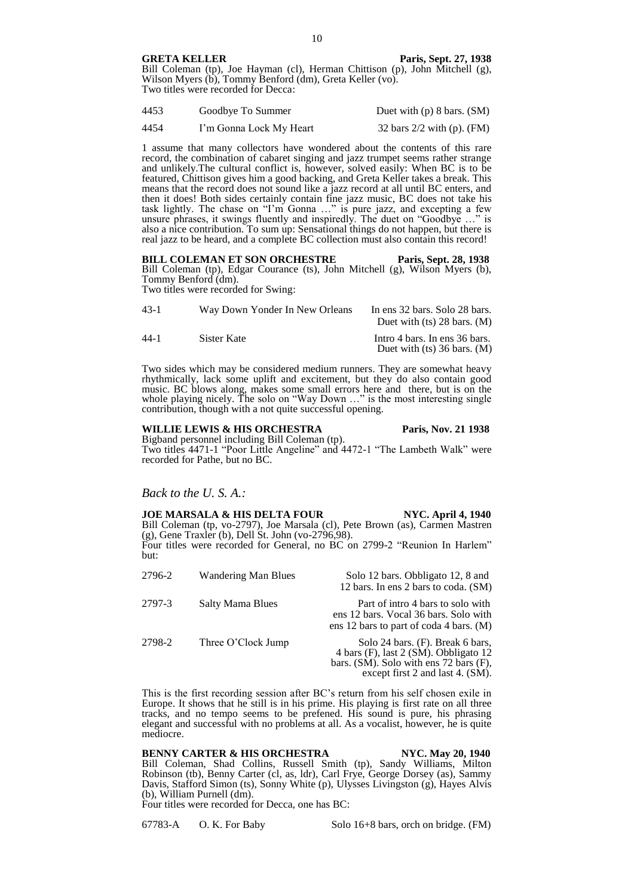**GRETA KELLER Paris, Sept. 27, 1938**

Bill Coleman (tp), Joe Hayman (cl), Herman Chittison (p), John Mitchell (g), Wilson Myers (b), Tommy Benford (dm), Greta Keller (vo). Two titles were recorded for Decca:

| 4453 | Goodbye To Summer       | Duet with $(p)$ 8 bars. $(SM)$ |
|------|-------------------------|--------------------------------|
| 4454 | I'm Gonna Lock My Heart | 32 bars $2/2$ with (p). (FM)   |

1 assume that many collectors have wondered about the contents of this rare record, the combination of cabaret singing and jazz trumpet seems rather strange and unlikely.The cultural conflict is, however, solved easily: When BC is to be featured, Chittison gives him a good backing, and Greta Keller takes a break. This means that the record does not sound like a jazz record at all until BC enters, and then it does! Both sides certainly contain fine jazz music, BC does not take his task lightly. The chase on "I'm Gonna …" is pure jazz, and excepting a few unsure phrases, it swings fluently and inspiredly. The duet on "Goodbye …" is also a nice contribution. To sum up: Sensational things do not happen, but there is real jazz to be heard, and a complete BC collection must also contain this record!

**BILL COLEMAN ET SON ORCHESTRE Paris, Sept. 28, 1938** Bill Coleman (tp), Edgar Courance (ts), John Mitchell (g), Wilson Myers (b), Tommy Benford (dm).

Two titles were recorded for Swing:

| $43-1$ | Way Down Yonder In New Orleans | In ens 32 bars. Solo 28 bars.<br>Duet with $(ts)$ 28 bars. $(M)$ |
|--------|--------------------------------|------------------------------------------------------------------|
| $44-1$ | Sister Kate                    | Intro 4 bars. In ens 36 bars.<br>Duet with $(ts)$ 36 bars. $(M)$ |

Two sides which may be considered medium runners. They are somewhat heavy rhythmically, lack some uplift and excitement, but they do also contain good music. BC blows along, makes some small errors here and there, but is on the whole playing nicely. The solo on "Way Down …" is the most interesting single contribution, though with a not quite successful opening.

# **WILLIE LEWIS & HIS ORCHESTRA Paris, Nov. 21 1938**

Bigband personnel including Bill Coleman (tp). Two titles 4471-1 "Poor Little Angeline" and 4472-1 "The Lambeth Walk" were recorded for Pathe, but no BC.

*Back to the U. S. A.:*

### **JOE MARSALA & HIS DELTA FOUR NYC. April 4, 1940**

Bill Coleman (tp, vo-2797), Joe Marsala (cl), Pete Brown (as), Carmen Mastren  $(g)$ , Gene Traxler (b), Dell St. John (vo-2796,98). Four titles were recorded for General, no BC on 2799-2 "Reunion In Harlem" but:

| 2796-2 | Wandering Man Blues | Solo 12 bars. Obbligato 12, 8 and<br>12 bars. In ens 2 bars to coda. (SM)                                                                               |
|--------|---------------------|---------------------------------------------------------------------------------------------------------------------------------------------------------|
| 2797-3 | Salty Mama Blues    | Part of intro 4 bars to solo with<br>ens 12 bars. Vocal 36 bars. Solo with<br>ens 12 bars to part of coda 4 bars. $(M)$                                 |
| 2798-2 | Three O'Clock Jump  | Solo 24 bars. (F). Break 6 bars,<br>4 bars (F), last 2 (SM). Obbligato 12<br>bars. (SM). Solo with ens 72 bars (F),<br>except first 2 and last 4. (SM). |

This is the first recording session after BC's return from his self chosen exile in Europe. It shows that he still is in his prime. His playing is first rate on all three tracks, and no tempo seems to be prefened. His sound is pure, his phrasing elegant and successful with no problems at all. As a vocalist, however, he is quite mediocre.

### **BENNY CARTER & HIS ORCHESTRA NYC. May 20, 1940** Bill Coleman, Shad Collins, Russell Smith (tp), Sandy Williams, Milton Robinson (tb), Benny Carter (cl, as, ldr), Carl Frye, George Dorsey (as), Sammy Davis, Stafford Simon (ts), Sonny White (p), Ulysses Livingston (g), Hayes Alvis (b), William Purnell (dm).

Four titles were recorded for Decca, one has BC:

67783-A O. K. For Baby Solo 16+8 bars, orch on bridge. (FM)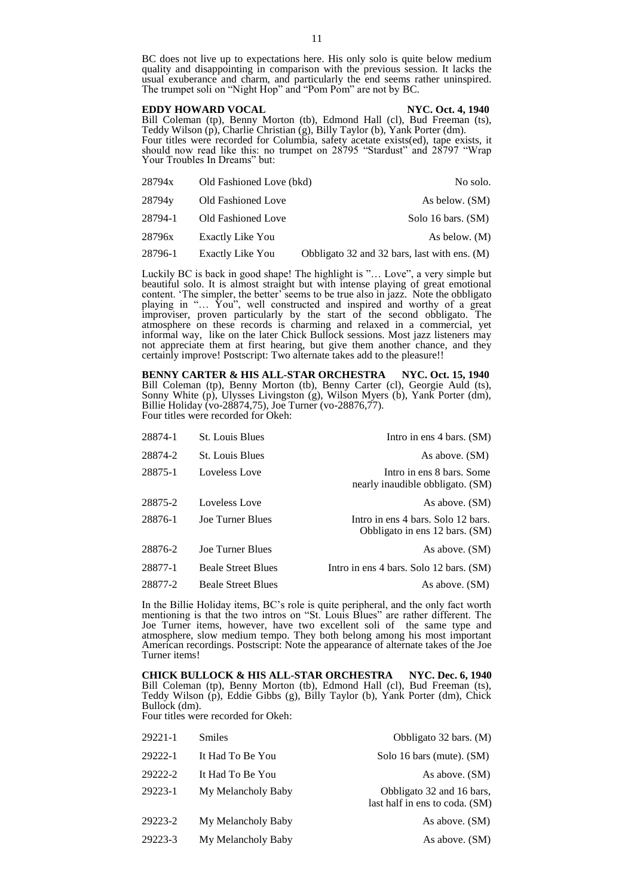BC does not live up to expectations here. His only solo is quite below medium quality and disappointing in comparison with the previous session. It lacks the usual exuberance and charm, and particularly the end seems rather uninspired. The trumpet soli on "Night Hop" and "Pom Pom" are not by BC.

**EDDY HOWARD VOCAL NYC. Oct. 4, 1940** Bill Coleman (tp), Benny Morton (tb), Edmond Hall (cl), Bud Freeman (ts), Teddy Wilson (p), Charlie Christian (g), Billy Taylor (b), Yank Porter (dm). Four titles were recorded for Columbia, safety acetate exists(ed), tape exists, it should now read like this: no trumpet on 28795 "Stardust" and 28797 "Wrap Your Troubles In Dreams" but:

| 28794x  | Old Fashioned Love (bkd) | No solo.                                     |
|---------|--------------------------|----------------------------------------------|
| 28794y  | Old Fashioned Love       | As below. (SM)                               |
| 28794-1 | Old Fashioned Love       | Solo 16 bars. (SM)                           |
| 28796x  | Exactly Like You         | As below. (M)                                |
| 28796-1 | <b>Exactly Like You</b>  | Obbligato 32 and 32 bars, last with ens. (M) |

Luckily BC is back in good shape! The highlight is "… Love", a very simple but beautiful solo. It is almost straight but with intense playing of great emotional content. 'The simpler, the better' seems to be true also in jazz. Note the obbligato playing in "… You", well constructed and inspired and worthy of a great improviser, proven particularly by the start of the second obbligato. The atmosphere on these records is charming and relaxed in a commercial, yet informal way, like on the later Chick Bullock sessions. Most jazz listeners may not appreciate them at first hearing, but give them another chance, and they certainly improve! Postscript: Two alternate takes add to the pleasure!!

**BENNY CARTER & HIS ALL-STAR ORCHESTRA NYC. Oct. 15, 1940** Bill Coleman (tp), Benny Morton (tb), Benny Carter (cl), Georgie Auld (ts), Sonny White (p), Ulysses Livingston (g), Wilson Myers (b), Yank Porter (dm), Billie Holiday (vo-28874,75), Joe Turner (vo-28876,77). Four titles were recorded for Okeh:

| 28874-1 | <b>St.</b> Louis Blues    | Intro in ens 4 bars. (SM)                                            |
|---------|---------------------------|----------------------------------------------------------------------|
| 28874-2 | <b>St.</b> Louis Blues    | As above. (SM)                                                       |
| 28875-1 | Loveless Love             | Intro in ens 8 bars. Some<br>nearly inaudible obbligato. (SM)        |
| 28875-2 | Loveless Love             | As above. (SM)                                                       |
| 28876-1 | Joe Turner Blues          | Intro in ens 4 bars. Solo 12 bars.<br>Obbligato in ens 12 bars. (SM) |
| 28876-2 | <b>Joe Turner Blues</b>   | As above. (SM)                                                       |
| 28877-1 | <b>Beale Street Blues</b> | Intro in ens 4 bars. Solo 12 bars. (SM)                              |
| 28877-2 | <b>Beale Street Blues</b> | As above. (SM)                                                       |

In the Billie Holiday items, BC's role is quite peripheral, and the only fact worth mentioning is that the two intros on "St. Louis Blues" are rather different. The Joe Turner items, however, have two excellent soli of the same type and atmosphere, slow medium tempo. They both belong among his most important American recordings. Postscript: Note the appearance of alternate takes of the Joe Turner items!

**CHICK BULLOCK & HIS ALL-STAR ORCHESTRA NYC. Dec. 6, 1940** Bill Coleman (tp), Benny Morton (tb), Edmond Hall (cl), Bud Freeman (ts), Teddy Wilson (p), Eddie Gibbs (g), Billy Taylor (b), Yank Porter (dm), Chick Bullock (dm).

Four titles were recorded for Okeh:

| 29221-1 | <b>Smiles</b>      | Obbligato 32 bars. (M)                                      |
|---------|--------------------|-------------------------------------------------------------|
| 29222-1 | It Had To Be You   | Solo 16 bars (mute). (SM)                                   |
| 29222-2 | It Had To Be You   | As above. (SM)                                              |
| 29223-1 | My Melancholy Baby | Obbligato 32 and 16 bars,<br>last half in ens to coda. (SM) |
| 29223-2 | My Melancholy Baby | As above. (SM)                                              |
| 29223-3 | My Melancholy Baby | As above. (SM)                                              |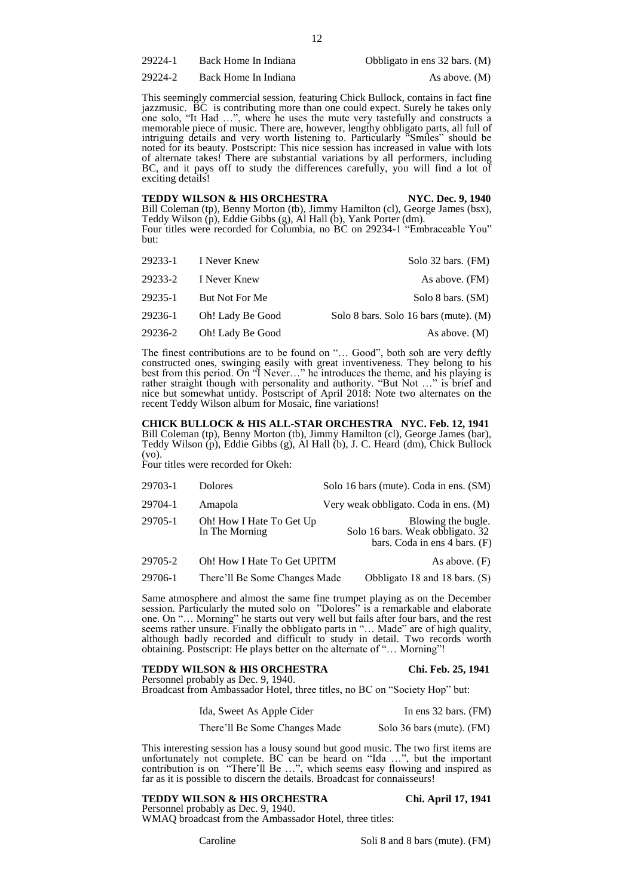29224-1 Back Home In Indiana Obbligato in ens 32 bars. (M)

29224-2 Back Home In Indiana As above. (M)

This seemingly commercial session, featuring Chick Bullock, contains in fact fine jazzmusic. BC is contributing more than one could expect. Surely he takes only one solo, "It Had …", where he uses the mute very tastefully and constructs a memorable piece of music. There are, however, lengthy obbligato parts, all full of intriguing details and very worth listening to. Particularly "Smiles" should be noted for its beauty. Postscript: This nice session has increased in value with lots of alternate takes! There are substantial variations by all performers, including BC, and it pays off to study the differences carefully, you will find a lot of exciting details!

**TEDDY WILSON & HIS ORCHESTRA NYC. Dec. 9, 1940** Bill Coleman (tp), Benny Morton (tb), Jimmy Hamilton (cl), George James (bsx), Teddy Wilson (p), Eddie Gibbs (g), Al Hall (b), Yank Porter (dm). Four titles were recorded for Columbia, no BC on 29234-1 "Embraceable You" but:

|         | 29233-1 I Never Knew | Solo 32 bars. (FM)                    |
|---------|----------------------|---------------------------------------|
| 29233-2 | I Never Knew         | As above. (FM)                        |
| 29235-1 | But Not For Me       | Solo 8 bars. (SM)                     |
| 29236-1 | Oh! Lady Be Good     | Solo 8 bars. Solo 16 bars (mute). (M) |
| 29236-2 | Oh! Lady Be Good     | As above. $(M)$                       |

The finest contributions are to be found on "… Good", both soh are very deftly constructed ones, swinging easily with great inventiveness. They belong to his best from this period. On "I Never…" he introduces the theme, and his playing is rather straight though with personality and authority. "But Not …" is brief and nice but somewhat untidy. Postscript of April 2018: Note two alternates on the recent Teddy Wilson album for Mosaic, fine variations!

**CHICK BULLOCK & HIS ALL-STAR ORCHESTRA NYC. Feb. 12, 1941** Bill Coleman (tp), Benny Morton (tb), Jimmy Hamilton (cl), George James (bar), Teddy Wilson (p), Eddie Gibbs (g), Al Hall (b), J. C. Heard (dm), Chick Bullock (vo).

Four titles were recorded for Okeh:

| 29703-1 | <b>Dolores</b> | Solo 16 bars (mute). Coda in ens. (SM) |
|---------|----------------|----------------------------------------|
|---------|----------------|----------------------------------------|

| 29704-1 | Amapola | Very weak obbligato. Coda in ens. (M) |
|---------|---------|---------------------------------------|
| ------  | -----   |                                       |

29705-1 Oh! How I Hate To Get Up Blowing the bugle.<br>In The Morning Solo 16 bars. Weak obbligato. 32 Solo 16 bars. Weak obbligato. 32 bars. Coda in ens 4 bars. (F)

29705-2 Oh! How I Hate To Get UPITM As above. (F)

29706-1 There'll Be Some Changes Made Obbligato 18 and 18 bars. (S)

Same atmosphere and almost the same fine trumpet playing as on the December session. Particularly the muted solo on "Dolores" is a remarkable and elaborate one. On "… Morning" he starts out very well but fails after four bars, and the rest seems rather unsure. Finally the obbligato parts in "… Made" are of high quality, although badly recorded and difficult to study in detail. Two records worth obtaining. Postscript: He plays better on the alternate of "… Morning"!

# **TEDDY WILSON & HIS ORCHESTRA Chi. Feb. 25, 1941**

Personnel probably as Dec. 9, 1940.

Broadcast from Ambassador Hotel, three titles, no BC on "Society Hop" but:

Ida, Sweet As Apple Cider In ens 32 bars. (FM)

There'll Be Some Changes Made Solo 36 bars (mute). (FM)

This interesting session has a lousy sound but good music. The two first items are unfortunately not complete. BC can be heard on "Ida …", but the important contribution is on "There'll Be …", which seems easy flowing and inspired as far as it is possible to discern the details. Broadcast for connaisseurs!

### **TEDDY WILSON & HIS ORCHESTRA Chi. April 17, 1941**

Personnel probably as Dec. 9, 1940. WMAQ broadcast from the Ambassador Hotel, three titles: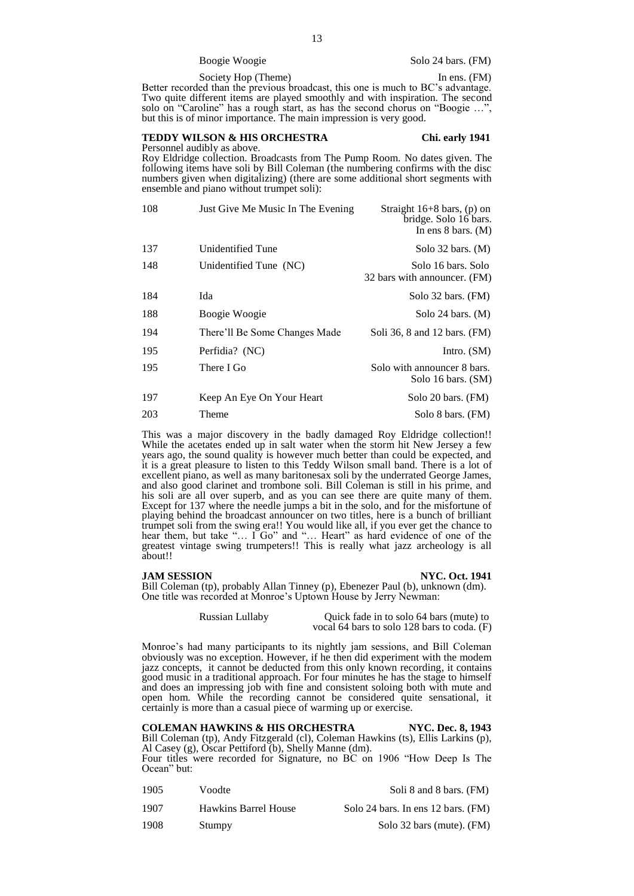Society Hop (Theme) In ens. (FM)

Better recorded than the previous broadcast, this one is much to BC's advantage. Two quite different items are played smoothly and with inspiration. The second solo on "Caroline" has a rough start, as has the second chorus on "Boogie …", but this is of minor importance. The main impression is very good.

### **TEDDY WILSON & HIS ORCHESTRA Chi. early 1941**

Personnel audibly as above.

Roy Eldridge collection. Broadcasts from The Pump Room. No dates given. The following items have soli by Bill Coleman (the numbering confirms with the disc numbers given when digitalizing) (there are some additional short segments with ensemble and piano without trumpet soli):

| 108 | Just Give Me Music In The Evening | Straight $16+8$ bars, (p) on<br>bridge. Solo 16 bars.<br>In ens $8 \text{ bars. } (M)$ |
|-----|-----------------------------------|----------------------------------------------------------------------------------------|
| 137 | Unidentified Tune                 | Solo $32$ bars. $(M)$                                                                  |
| 148 | Unidentified Tune (NC)            | Solo 16 bars. Solo<br>32 bars with announcer. (FM)                                     |
| 184 | Ida                               | Solo 32 bars. (FM)                                                                     |
| 188 | Boogie Woogie                     | Solo 24 bars. $(M)$                                                                    |
| 194 | There'll Be Some Changes Made     | Soli 36, 8 and 12 bars. (FM)                                                           |
| 195 | Perfidia? (NC)                    | Intro. $(SM)$                                                                          |
| 195 | There I Go                        | Solo with announcer 8 bars.<br>Solo 16 bars. (SM)                                      |
| 197 | Keep An Eye On Your Heart         | Solo 20 bars. (FM)                                                                     |
|     |                                   |                                                                                        |

203 Theme Solo 8 bars. (FM)

This was a major discovery in the badly damaged Roy Eldridge collection!! While the acetates ended up in salt water when the storm hit New Jersey a few years ago, the sound quality is however much better than could be expected, and it is a great pleasure to listen to this Teddy Wilson small band. There is a lot of excellent piano, as well as many baritonesax soli by the underrated George James, and also good clarinet and trombone soli. Bill Coleman is still in his prime, and his soli are all over superb, and as you can see there are quite many of them. Except for 137 where the needle jumps a bit in the solo, and for the misfortune of playing behind the broadcast announcer on two titles, here is a bunch of brilliant trumpet soli from the swing era!! You would like all, if you ever get the chance to hear them, but take "... I Go" and "... Heart" as hard evidence of one of the greatest vintage swing trumpeters!! This is really what jazz archeology is all about!!

**JAM SESSION NYC. Oct. 1941** 

Bill Coleman (tp), probably Allan Tinney (p), Ebenezer Paul (b), unknown (dm). One title was recorded at Monroe's Uptown House by Jerry Newman:

> Russian Lullaby Quick fade in to solo 64 bars (mute) to vocal 64 bars to solo 128 bars to coda. (F)

Monroe's had many participants to its nightly jam sessions, and Bill Coleman obviously was no exception. However, if he then did experiment with the modem jazz concepts, it cannot be deducted from this only known recording, it contains good music in a traditional approach. For four minutes he has the stage to himself and does an impressing job with fine and consistent soloing both with mute and open hom. While the recording cannot be considered quite sensational, it certainly is more than a casual piece of warming up or exercise.

**COLEMAN HAWKINS & HIS ORCHESTRA NYC. Dec. 8, 1943** Bill Coleman (tp), Andy Fitzgerald (cl), Coleman Hawkins (ts), Ellis Larkins (p), Al Casey (g), Oscar Pettiford (b), Shelly Manne (dm). Four titles were recorded for Signature, no BC on 1906 "How Deep Is The Ocean" but:

| 1905 | Voodte                      | Soli 8 and 8 bars. (FM)            |
|------|-----------------------------|------------------------------------|
| 1907 | <b>Hawkins Barrel House</b> | Solo 24 bars. In ens 12 bars. (FM) |
| 1908 | Stumpy                      | Solo 32 bars (mute). (FM)          |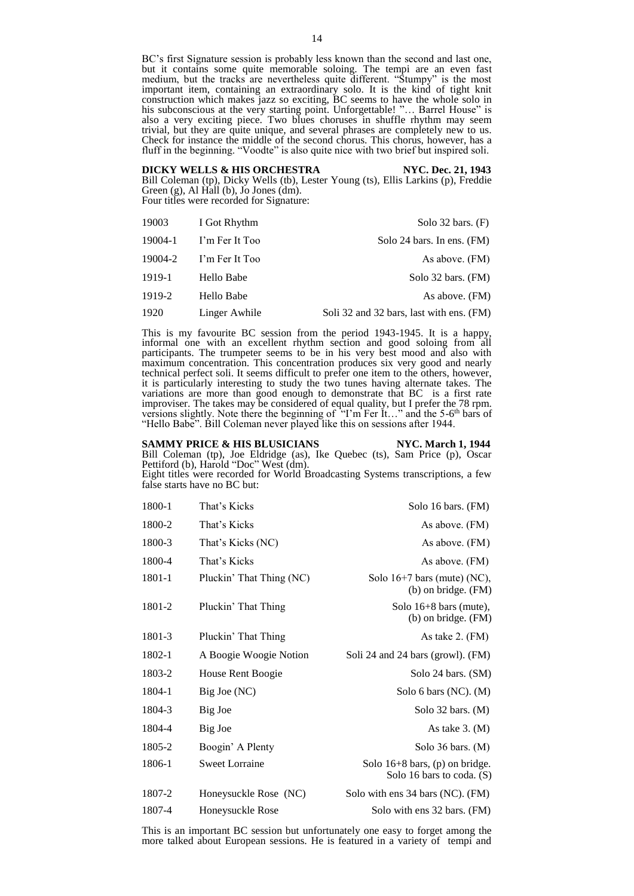BC's first Signature session is probably less known than the second and last one, but it contains some quite memorable soloing. The tempi are an even fast medium, but the tracks are nevertheless quite different. "Stumpy" is the most important item, containing an extraordinary solo. It is the kind of tight knit construction which makes jazz so exciting, BC seems to have the whole solo in his subconscious at the very starting point. Unforgettable! "... Barrel House" is also a very exciting piece. Two blues choruses in shuffle rhythm may seem trivial, but they are quite unique, and several phrases are completely new to us. Check for instance the middle of the second chorus. This chorus, however, has a fluff in the beginning. "Voodte" is also quite nice with two brief but inspired soli.

**DICKY WELLS & HIS ORCHESTRA NYC. Dec. 21, 1943** Bill Coleman (tp), Dicky Wells (tb), Lester Young (ts), Ellis Larkins (p), Freddie Green  $(g)$ , Al Hall  $(b)$ , Jo Jones  $(dm)$ . Four titles were recorded for Signature:

| 19003   | I Got Rhythm   | Solo $32$ bars. $(F)$                    |
|---------|----------------|------------------------------------------|
| 19004-1 | I'm Fer It Too | Solo 24 bars. In ens. (FM)               |
| 19004-2 | I'm Fer It Too | As above. (FM)                           |
| 1919-1  | Hello Babe     | Solo $32$ bars. (FM)                     |
| 1919-2  | Hello Babe     | As above. (FM)                           |
| 1920    | Linger Awhile  | Soli 32 and 32 bars, last with ens. (FM) |

This is my favourite BC session from the period 1943-1945. It is a happy, informal one with an excellent rhythm section and good soloing from all participants. The trumpeter seems to be in his very best mood and also with maximum concentration. This concentration produces six very good and nearly technical perfect soli. It seems difficult to prefer one item to the others, however, it is particularly interesting to study the two tunes having alternate takes. The variations are more than good enough to demonstrate that BC is a first rate improviser. The takes may be considered of equal quality, but I prefer the 78 rpm. versions slightly. Note there the beginning of "T'm Fer It..." and the 5-6<sup>th</sup> bars of "Hello Babe". Bill Coleman never played like this on sessions after 1944.

# **SAMMY PRICE & HIS BLUSICIANS NYC. March 1, 1944** Bill Coleman (tp), Joe Eldridge (as), Ike Quebec (ts), Sam Price (p), Oscar

Pettiford (b), Harold "Doc" West (dm). Eight titles were recorded for World Broadcasting Systems transcriptions, a few false starts have no BC but:

| 1800-1 | That's Kicks             | Solo 16 bars. (FM)                                            |
|--------|--------------------------|---------------------------------------------------------------|
| 1800-2 | That's Kicks             | As above. (FM)                                                |
| 1800-3 | That's Kicks (NC)        | As above. (FM)                                                |
| 1800-4 | That's Kicks             | As above. (FM)                                                |
| 1801-1 | Pluckin' That Thing (NC) | Solo $16+7$ bars (mute) (NC),<br>$(b)$ on bridge. $(FM)$      |
| 1801-2 | Pluckin' That Thing      | Solo $16+8$ bars (mute),<br>$(b)$ on bridge. $(FM)$           |
| 1801-3 | Pluckin' That Thing      | As take 2. (FM)                                               |
| 1802-1 | A Boogie Woogie Notion   | Soli 24 and 24 bars (growl). (FM)                             |
| 1803-2 | House Rent Boogie        | Solo 24 bars. (SM)                                            |
| 1804-1 | Big Joe (NC)             | Solo 6 bars $(NC)$ . $(M)$                                    |
| 1804-3 | Big Joe                  | Solo $32$ bars. (M)                                           |
| 1804-4 | Big Joe                  | As take $3. (M)$                                              |
| 1805-2 | Boogin' A Plenty         | Solo $36$ bars. $(M)$                                         |
| 1806-1 | <b>Sweet Lorraine</b>    | Solo $16+8$ bars, (p) on bridge.<br>Solo 16 bars to coda. (S) |
| 1807-2 | Honeysuckle Rose (NC)    | Solo with ens 34 bars (NC). (FM)                              |
| 1807-4 | Honeysuckle Rose         | Solo with ens 32 bars. (FM)                                   |

This is an important BC session but unfortunately one easy to forget among the more talked about European sessions. He is featured in a variety of tempi and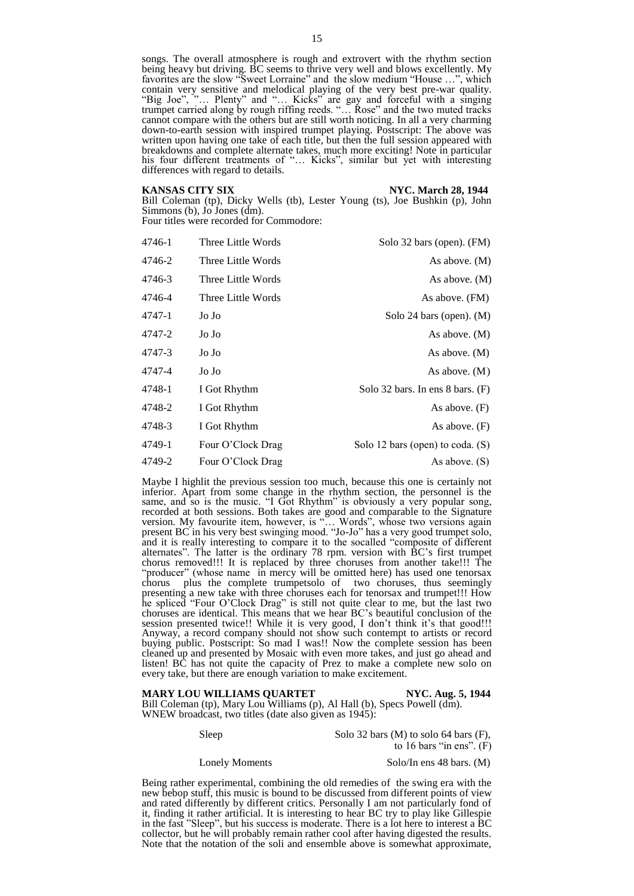songs. The overall atmosphere is rough and extrovert with the rhythm section being heavy but driving. BC seems to thrive very well and blows excellently. My favorites are the slow "Sweet Lorraine" and the slow medium "House …", which contain very sensitive and melodical playing of the very best pre-war quality. "Big Joe", "… Plenty" and "… Kicks" are gay and forceful with a singing trumpet carried along by rough riffing reeds. "… Rose" and the two muted tracks cannot compare with the others but are still worth noticing. In all a very charming down-to-earth session with inspired trumpet playing. Postscript: The above was written upon having one take of each title, but then the full session appeared with breakdowns and complete alternate takes, much more exciting! Note in particular his four different treatments of "... Kicks", similar but yet with interesting differences with regard to details.

**KANSAS CITY SIX** NYC. March 28, 1944

Bill Coleman (tp), Dicky Wells (tb), Lester Young (ts), Joe Bushkin (p), John Simmons (b), Jo Jones (dm).

Four titles were recorded for Commodore:

| Solo 32 bars (open). (FM)          | Three Little Words | 4746-1 |
|------------------------------------|--------------------|--------|
| As above. $(M)$                    | Three Little Words | 4746-2 |
| As above. $(M)$                    | Three Little Words | 4746-3 |
| As above. (FM)                     | Three Little Words | 4746-4 |
| Solo 24 bars (open). $(M)$         | Jo Jo              | 4747-1 |
| As above. $(M)$                    | Jo Jo              | 4747-2 |
| As above. $(M)$                    | Jo Jo              | 4747-3 |
| As above. $(M)$                    | Jo Jo              | 4747-4 |
| Solo 32 bars. In ens $8$ bars. (F) | I Got Rhythm       | 4748-1 |
| As above. $(F)$                    | I Got Rhythm       | 4748-2 |
| As above. $(F)$                    | I Got Rhythm       | 4748-3 |
| Solo 12 bars (open) to coda. (S)   | Four O'Clock Drag  | 4749-1 |
| As above. $(S)$                    | Four O'Clock Drag  | 4749-2 |

Maybe I highlit the previous session too much, because this one is certainly not inferior. Apart from some change in the rhythm section, the personnel is the same, and so is the music. "I Got Rhythm" is obviously a very popular song, recorded at both sessions. Both takes are good and comparable to the Signature version. My favourite item, however, is "… Words", whose two versions again present BC in his very best swinging mood. "Jo-Jo" has a very good trumpet solo, and it is really interesting to compare it to the socalled "composite of different alternates". The latter is the ordinary 78 rpm. version with BC's first trumpet chorus removed!!! It is replaced by three choruses from another take!!! The "producer" (whose name in mercy will be omitted here) has used one tenorsax chorus plus the complete trumpetsolo of two choruses, thus seemingly presenting a new take with three choruses each for tenorsax and trumpet!!! How he spliced "Four O'Clock Drag" is still not quite clear to me, but the last two choruses are identical. This means that we hear BC's beautiful conclusion of the session presented twice!! While it is very good, I don't think it's that good!!! Anyway, a record company should not show such contempt to artists or record buying public. Postscript: So mad I was!! Now the complete session has been cleaned up and presented by Mosaic with even more takes, and just go ahead and listen! BC has not quite the capacity of Prez to make a complete new solo on every take, but there are enough variation to make excitement.

#### **MARY LOU WILLIAMS QUARTET NYC. Aug. 5, 1944**

Bill Coleman (tp), Mary Lou Williams (p), Al Hall (b), Specs Powell (dm). WNEW broadcast, two titles (date also given as 1945):

Sleep Solo 32 bars (M) to solo 64 bars (F), to 16 bars "in ens".  $(F)$ 

Lonely Moments Solo/In ens 48 bars. (M)

Being rather experimental, combining the old remedies of the swing era with the new bebop stuff, this music is bound to be discussed from different points of view and rated differently by different critics. Personally I am not particularly fond of it, finding it rather artificial. It is interesting to hear BC try to play like Gillespie in the fast "Sleep", but his success is moderate. There is a lot here to interest a BC collector, but he will probably remain rather cool after having digested the results. Note that the notation of the soli and ensemble above is somewhat approximate,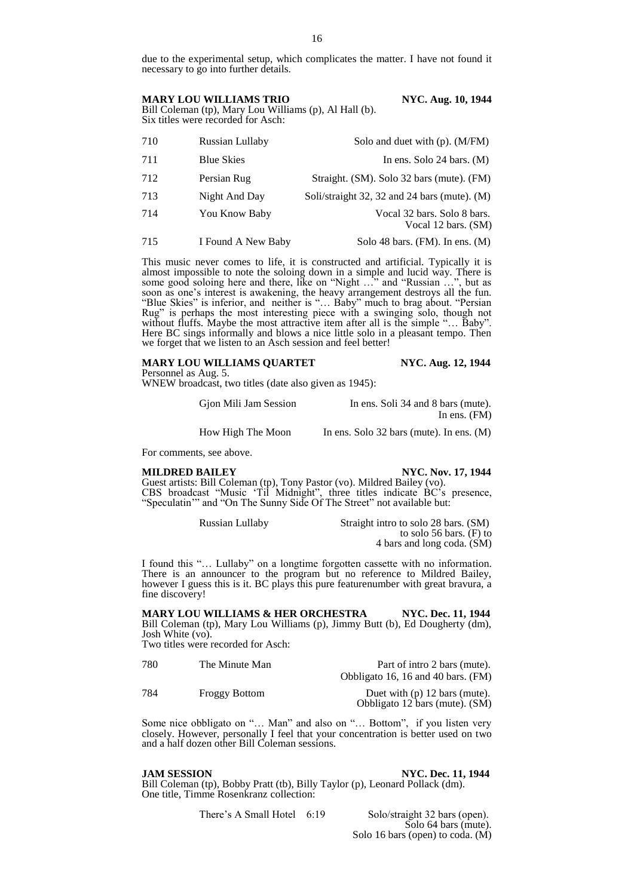due to the experimental setup, which complicates the matter. I have not found it necessary to go into further details.

MARY LOU WILLIAMS TRIO NYC. Aug. 10, 1944 Bill Coleman (tp), Mary Lou Williams (p), Al Hall (b).

Six titles were recorded for Asch:

 Russian Lullaby Solo and duet with (p). (M/FM) 711 Blue Skies In ens. Solo 24 bars. (M) Persian Rug Straight. (SM). Solo 32 bars (mute). (FM) Night And Day Soli/straight 32, 32 and 24 bars (mute). (M) You Know Baby Vocal 32 bars. Solo 8 bars. Vocal 12 bars. (SM)

715 I Found A New Baby Solo 48 bars. (FM). In ens. (M)

This music never comes to life, it is constructed and artificial. Typically it is almost impossible to note the soloing down in a simple and lucid way. There is some good soloing here and there, like on "Night ..." and "Russian ...", but as soon as one's interest is awakening, the heavy arrangement destroys all the fun. "Blue Skies" is inferior, and neither is "… Baby" much to brag about. "Persian Rug" is perhaps the most interesting piece with a swinging solo, though not without fluffs. Maybe the most attractive item after all is the simple "... Baby". Here BC sings informally and blows a nice little solo in a pleasant tempo. Then we forget that we listen to an Asch session and feel better!

### **MARY LOU WILLIAMS QUARTET NYC. Aug. 12, 1944**

Personnel as Aug. 5.

WNEW broadcast, two titles (date also given as 1945):

Gjon Mili Jam Session In ens. Soli 34 and 8 bars (mute). In ens. (FM)

How High The Moon In ens. Solo 32 bars (mute). In ens. (M)

For comments, see above.

### **MILDRED BAILEY** NYC. Nov. 17, 1944

Guest artists: Bill Coleman (tp), Tony Pastor (vo). Mildred Bailey (vo). CBS broadcast "Music 'Til Midnight", three titles indicate BC's presence, "Speculatin" and "On The Sunny Side Of The Street" not available but:

Russian Lullaby Straight intro to solo 28 bars. (SM) to solo 56 bars. (F) to 4 bars and long coda. (SM)

I found this "… Lullaby" on a longtime forgotten cassette with no information. There is an announcer to the program but no reference to Mildred Bailey, however I guess this is it. BC plays this pure featurenumber with great bravura, a fine discovery!

**MARY LOU WILLIAMS & HER ORCHESTRA NYC. Dec. 11, 1944** Bill Coleman (tp), Mary Lou Williams (p), Jimmy Butt (b), Ed Dougherty (dm), Josh White (vo).

Two titles were recorded for Asch:

| 780 | The Minute Man       | Part of intro 2 bars (mute).<br>Obbligato 16, 16 and 40 bars. (FM) |
|-----|----------------------|--------------------------------------------------------------------|
| 784 | <b>Froggy Bottom</b> | Duet with $(p)$ 12 bars (mute).<br>Obbligato 12 bars (mute). (SM)  |

Some nice obbligato on "… Man" and also on "… Bottom", if you listen very closely. However, personally I feel that your concentration is better used on two and a half dozen other Bill Coleman sessions.

**JAM SESSION NYC. Dec. 11, 1944**

Bill Coleman (tp), Bobby Pratt (tb), Billy Taylor (p), Leonard Pollack (dm). One title, Timme Rosenkranz collection:

There's A Small Hotel 6:19 Solo/straight 32 bars (open). Solo 64 bars (mute). Solo 16 bars (open) to coda. (M)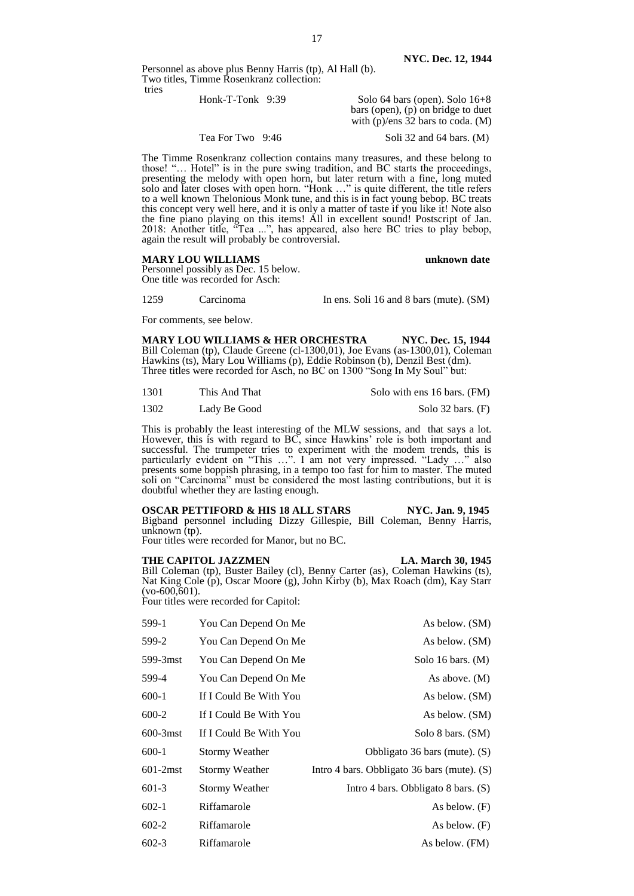Personnel as above plus Benny Harris (tp), Al Hall (b). Two titles, Timme Rosenkranz collection: tries

| Honk-T-Tonk $9:39$ | Solo $64$ bars (open). Solo $16+8$<br>bars (open), $(p)$ on bridge to duet<br>with $(p)/ens$ 32 bars to coda. $(M)$ |
|--------------------|---------------------------------------------------------------------------------------------------------------------|
| Tea For Two 9:46   | Soli 32 and 64 bars. $(M)$                                                                                          |

The Timme Rosenkranz collection contains many treasures, and these belong to those! "… Hotel" is in the pure swing tradition, and BC starts the proceedings, presenting the melody with open horn, but later return with a fine, long muted solo and later closes with open horn. "Honk …" is quite different, the title refers to a well known Thelonious Monk tune, and this is in fact young bebop. BC treats this concept very well here, and it is only a matter of taste if you like it! Note also the fine piano playing on this items! All in excellent sound! Postscript of Jan. 2018: Another title, "Tea ...", has appeared, also here BC tries to play bebop, again the result will probably be controversial.

#### **MARY LOU WILLIAMS unknown date**

Personnel possibly as Dec. 15 below. One title was recorded for Asch:

1259 Carcinoma In ens. Soli 16 and 8 bars (mute). (SM)

For comments, see below.

**MARY LOU WILLIAMS & HER ORCHESTRA NYC. Dec. 15, 1944** Bill Coleman (tp), Claude Greene (cl-1300,01), Joe Evans (as-1300,01), Coleman Hawkins (ts), Mary Lou Williams (p), Eddie Robinson (b), Denzil Best (dm). Three titles were recorded for Asch, no BC on 1300 "Song In My Soul" but:

| 1301 | This And That | Solo with ens 16 bars. (FM) |
|------|---------------|-----------------------------|
|      |               |                             |

1302 Lady Be Good Solo 32 bars. (F)

This is probably the least interesting of the MLW sessions, and that says a lot. However, this is with regard to BC, since Hawkins' role is both important and successful. The trumpeter tries to experiment with the modem trends, this is particularly evident on "This …". I am not very impressed. "Lady …" also presents some boppish phrasing, in a tempo too fast for him to master. The muted soli on "Carcinoma" must be considered the most lasting contributions, but it is doubtful whether they are lasting enough.

|                                            |         | <b>OSCAR PETTIFORD &amp; HIS 18 ALL STARS</b>                            |  | NYC. Jan. 9, 1945 |  |
|--------------------------------------------|---------|--------------------------------------------------------------------------|--|-------------------|--|
|                                            |         | Bigband personnel including Dizzy Gillespie, Bill Coleman, Benny Harris, |  |                   |  |
| unknown $(tp)$ .                           |         |                                                                          |  |                   |  |
| $\mathbf{r}$ , $\mathbf{r}$ , $\mathbf{r}$ | 1.10.11 | $\sqrt{ }$                                                               |  |                   |  |

Four titles were recorded for Manor, but no BC.

**THE CAPITOL JAZZMEN** LA. March 30, 1945 Bill Coleman (tp), Buster Bailey (cl), Benny Carter (as), Coleman Hawkins (ts), Nat King Cole (p), Oscar Moore (g), John Kirby (b), Max Roach (dm), Kay Starr  $(vo-600,601)$ .

Four titles were recorded for Capitol:

| 599-1    | You Can Depend On Me   | As below. (SM)                                |
|----------|------------------------|-----------------------------------------------|
| 599-2    | You Can Depend On Me   | As below. (SM)                                |
| 599-3mst | You Can Depend On Me   | Solo 16 bars. $(M)$                           |
| 599-4    | You Can Depend On Me   | As above. $(M)$                               |
| 600-1    | If I Could Be With You | As below. (SM)                                |
| 600-2    | If I Could Be With You | As below. (SM)                                |
| 600-3mst | If I Could Be With You | Solo 8 bars. (SM)                             |
| 600-1    | Stormy Weather         | Obbligato 36 bars (mute). (S)                 |
| 601-2mst | Stormy Weather         | Intro 4 bars. Obbligato 36 bars (mute). $(S)$ |
| 601-3    | Stormy Weather         | Intro 4 bars. Obbligato 8 bars. $(S)$         |
| 602-1    | Riffamarole            | As below. (F)                                 |
| 602-2    | Riffamarole            | As below. $(F)$                               |
| 602-3    | Riffamarole            | As below. (FM)                                |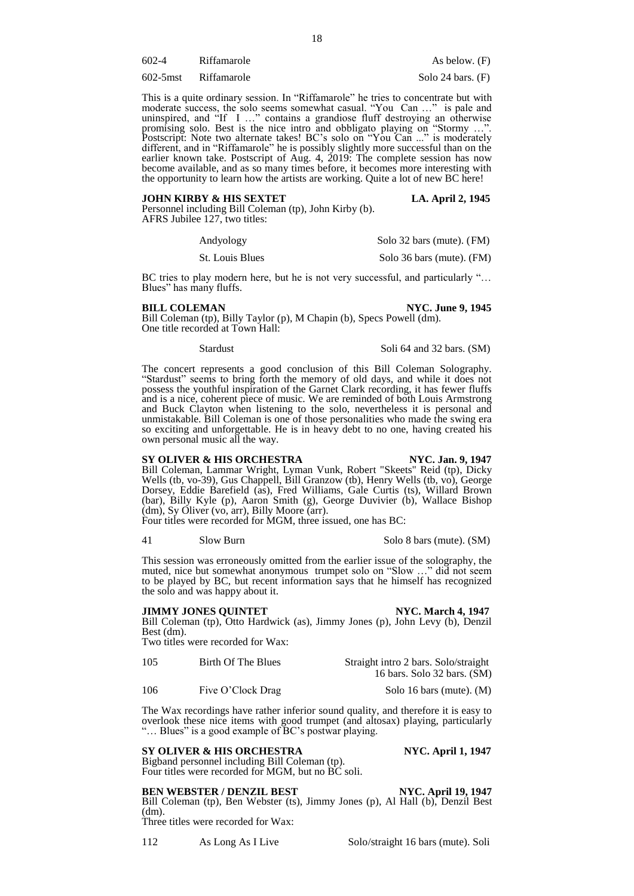602-4 Riffamarole As below. (F)

602-5mst Riffamarole Solo 24 bars. (F)

This is a quite ordinary session. In "Riffamarole" he tries to concentrate but with moderate success, the solo seems somewhat casual. "You Can …" is pale and uninspired, and "If I …" contains a grandiose fluff destroying an otherwise promising solo. Best is the nice intro and obbligato playing on "Stormy …". Postscript: Note two alternate takes! BC's solo on "You Can ..." is moderately different, and in "Riffamarole" he is possibly slightly more successful than on the earlier known take. Postscript of Aug. 4, 2019: The complete session has now become available, and as so many times before, it becomes more interesting with the opportunity to learn how the artists are working. Quite a lot of new BC here!

#### **JOHN KIRBY & HIS SEXTET LA. April 2, 1945**

Personnel including Bill Coleman (tp), John Kirby (b). AFRS Jubilee 127, two titles:

| Andyology       | Solo 32 bars (mute). (FM) |
|-----------------|---------------------------|
| St. Louis Blues | Solo 36 bars (mute). (FM) |

BC tries to play modern here, but he is not very successful, and particularly "… Blues" has many fluffs.

### **BILL COLEMAN NYC. June 9, 1945**

Bill Coleman (tp), Billy Taylor (p), M Chapin (b), Specs Powell (dm). One title recorded at Town Hall:

Stardust Stardust Soli 64 and 32 bars. (SM)

The concert represents a good conclusion of this Bill Coleman Solography. "Stardust" seems to bring forth the memory of old days, and while it does not possess the youthful inspiration of the Garnet Clark recording, it has fewer fluffs and is a nice, coherent piece of music. We are reminded of both Louis Armstrong and Buck Clayton when listening to the solo, nevertheless it is personal and unmistakable. Bill Coleman is one of those personalities who made the swing era so exciting and unforgettable. He is in heavy debt to no one, having created his own personal music all the way.

# **SY OLIVER & HIS ORCHESTRA NYC. Jan. 9, 1947**

Bill Coleman, Lammar Wright, Lyman Vunk, Robert "Skeets" Reid (tp), Dicky Wells (tb, vo-39), Gus Chappell, Bill Granzow (tb), Henry Wells (tb, vo), George Dorsey, Eddie Barefield (as), Fred Williams, Gale Curtis (ts), Willard Brown (bar), Billy Kyle (p), Aaron Smith (g), George Duvivier (b), Wallace Bishop (dm), Sy Oliver (vo, arr), Billy Moore (arr).

Four titles were recorded for MGM, three issued, one has BC:

41 Slow Burn Solo 8 bars (mute). (SM)

This session was erroneously omitted from the earlier issue of the solography, the muted, nice but somewhat anonymous trumpet solo on "Slow ..." did not seem to be played by BC, but recent information says that he himself has recognized the solo and was happy about it.

#### **JIMMY JONES QUINTET NYC. March 4, 1947**

Bill Coleman (tp), Otto Hardwick (as), Jimmy Jones (p), John Levy (b), Denzil Best (dm).

Two titles were recorded for Wax:

| 105 | Birth Of The Blues | Straight intro 2 bars. Solo/straight |
|-----|--------------------|--------------------------------------|
|     |                    | 16 bars. Solo 32 bars. (SM)          |

106 Five O'Clock Drag Solo 16 bars (mute). (M)

The Wax recordings have rather inferior sound quality, and therefore it is easy to overlook these nice items with good trumpet (and altosax) playing, particularly "… Blues" is a good example of BC's postwar playing.

# **SY OLIVER & HIS ORCHESTRA NYC. April 1, 1947**

Bigband personnel including Bill Coleman (tp). Four titles were recorded for MGM, but no BC soli.

# **BEN WEBSTER / DENZIL BEST NYC. April 19, 1947**

Bill Coleman (tp), Ben Webster (ts), Jimmy Jones (p), Al Hall (b), Denzil Best (dm).

Three titles were recorded for Wax:

112 As Long As I Live Solo/straight 16 bars (mute). Soli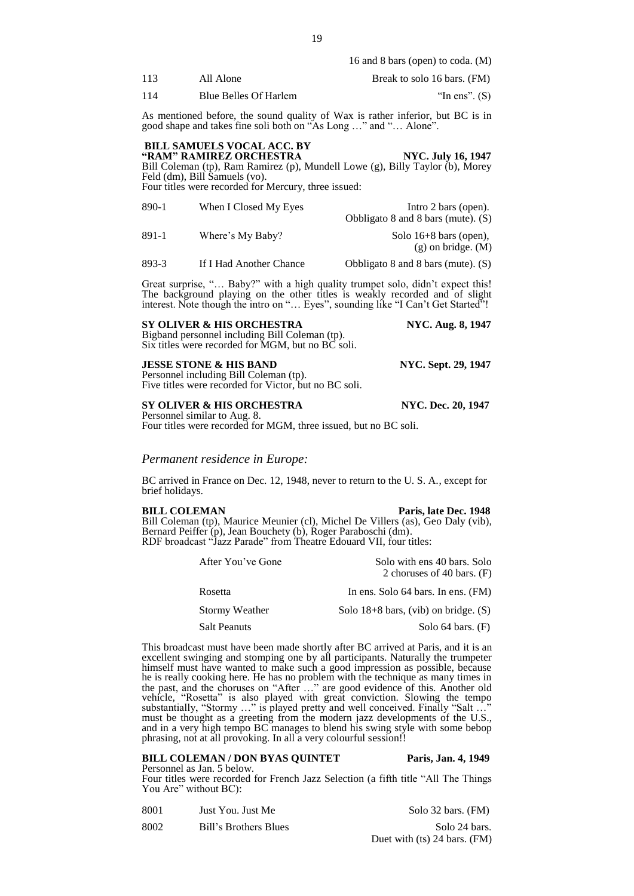|      |                       | $\sim$ 1 $\prime$ $\sim$ $\sim$ $\sim$ $\prime$ |
|------|-----------------------|-------------------------------------------------|
| 113  | All Alone             | Break to solo 16 bars. (FM)                     |
| -114 | Blue Belles Of Harlem | "In ens". $(S)$                                 |

As mentioned before, the sound quality of Wax is rather inferior, but BC is in good shape and takes fine soli both on "As Long …" and "… Alone".

### **BILL SAMUELS VOCAL ACC. BY EXAM" RAMIREZ ORCHESTRA NYC. July 16, 1947**

Bill Coleman (tp), Ram Ramirez (p), Mundell Lowe (g), Billy Taylor (b), Morey Feld (dm), Bill Samuels (vo). Four titles were recorded for Mercury, three issued:

| 890-1 | When I Closed My Eyes | Intro 2 bars (open).                               |
|-------|-----------------------|----------------------------------------------------|
|       |                       | Obbligato 8 and 8 bars (mute). $(S)$               |
| 891-1 | Where's My Baby?      | Solo $16+8$ bars (open),<br>$(g)$ on bridge. $(M)$ |
|       |                       |                                                    |

893-3 If I Had Another Chance Obbligato 8 and 8 bars (mute). (S)

Great surprise, "… Baby?" with a high quality trumpet solo, didn't expect this! The background playing on the other titles is weakly recorded and of slight interest. Note though the intro on "… Eyes", sounding like "I Can't Get Started"!

### **SY OLIVER & HIS ORCHESTRA NYC. Aug. 8, 1947**

Bigband personnel including Bill Coleman (tp). Six titles were recorded for MGM, but no BC soli.

#### **JESSE STONE & HIS BAND NYC. Sept. 29, 1947**

Personnel including Bill Coleman (tp). Five titles were recorded for Victor, but no BC soli.

#### **SY OLIVER & HIS ORCHESTRA NYC. Dec. 20, 1947**

Personnel similar to Aug. 8. Four titles were recorded for MGM, three issued, but no BC soli.

# *Permanent residence in Europe:*

BC arrived in France on Dec. 12, 1948, never to return to the U. S. A., except for brief holidays.

**BILL COLEMAN Paris, late Dec. 1948** Bill Coleman (tp), Maurice Meunier (cl), Michel De Villers (as), Geo Daly (vib), Bernard Peiffer (p), Jean Bouchety (b), Roger Paraboschi (dm). RDF broadcast "Jazz Parade" from Theatre Edouard VII, four titles:

| After You've Gone   | Solo with ens 40 bars. Solo<br>2 choruses of 40 bars. $(F)$ |
|---------------------|-------------------------------------------------------------|
| Rosetta             | In ens. Solo 64 bars. In ens. (FM)                          |
| Stormy Weather      | Solo $18+8$ bars, (vib) on bridge. (S)                      |
| <b>Salt Peanuts</b> | Solo $64$ bars. $(F)$                                       |

This broadcast must have been made shortly after BC arrived at Paris, and it is an excellent swinging and stomping one by all participants. Naturally the trumpeter himself must have wanted to make such a good impression as possible, because he is really cooking here. He has no problem with the technique as many times in the past, and the choruses on "After …" are good evidence of this. Another old vehicle, "Rosetta" is also played with great conviction. Slowing the tempo substantially, "Stormy …" is played pretty and well conceived. Finally "Salt …" must be thought as a greeting from the modern jazz developments of the U.S., and in a very high tempo BC manages to blend his swing style with some bebop phrasing, not at all provoking. In all a very colourful session!!

### **BILL COLEMAN / DON BYAS QUINTET Paris, Jan. 4, 1949**

Personnel as Jan. 5 below. Four titles were recorded for French Jazz Selection (a fifth title "All The Things You Are" without BC):

| 8001 | Just You. Just Me     | Solo 32 bars. (FM)           |
|------|-----------------------|------------------------------|
| 8002 | Bill's Brothers Blues | Solo 24 bars.                |
|      |                       | Duet with (ts) 24 bars. (FM) |

16 and 8 bars (open) to coda. (M)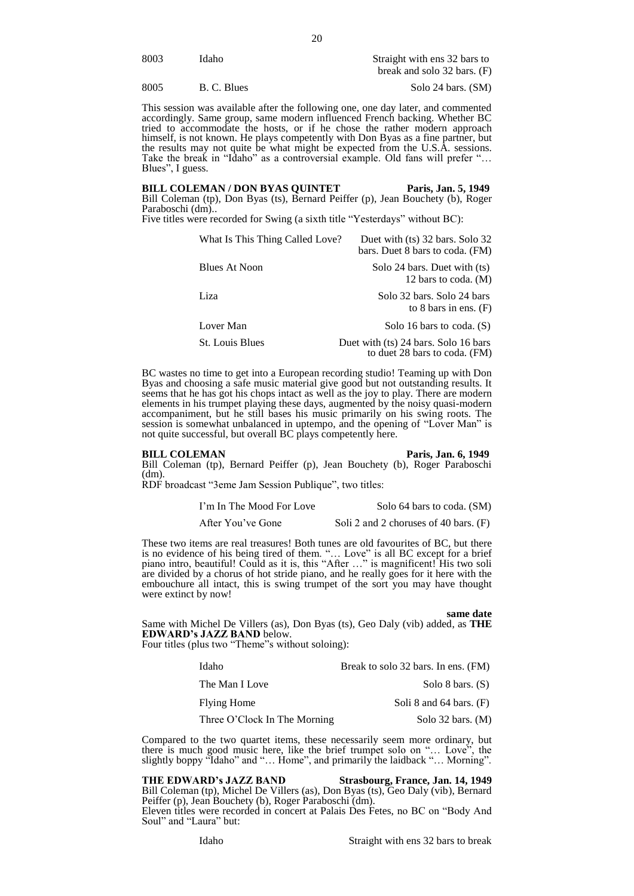| 8003 | ídaho | Straight with ens 32 bars to |
|------|-------|------------------------------|
|      |       | break and solo 32 bars. (F)  |

8005 B. C. Blues Solo 24 bars. (SM)

This session was available after the following one, one day later, and commented accordingly. Same group, same modern influenced French backing. Whether BC tried to accommodate the hosts, or if he chose the rather modern approach himself, is not known. He plays competently with Don Byas as a fine partner, but the results may not quite be what might be expected from the U.S.A. sessions. Take the break in "Idaho" as a controversial example. Old fans will prefer "... Blues", I guess.

BILL COLEMAN / DON BYAS QUINTET Paris, Jan. 5, 1949 Bill Coleman (tp), Don Byas (ts), Bernard Peiffer (p), Jean Bouchety (b), Roger Paraboschi (dm)..

Five titles were recorded for Swing (a sixth title "Yesterdays" without BC):

| What Is This Thing Called Love? | Duet with (ts) 32 bars. Solo 32<br>bars. Duet 8 bars to coda. (FM)    |
|---------------------------------|-----------------------------------------------------------------------|
| Blues At Noon                   | Solo 24 bars. Duet with (ts)<br>12 bars to coda. (M)                  |
| Liza                            | Solo 32 bars. Solo 24 bars<br>to 8 bars in ens. $(F)$                 |
| Lover Man                       | Solo 16 bars to coda. $(S)$                                           |
| <b>St.</b> Louis Blues          | Duet with (ts) 24 bars. Solo 16 bars<br>to duet 28 bars to coda. (FM) |

BC wastes no time to get into a European recording studio! Teaming up with Don Byas and choosing a safe music material give good but not outstanding results. It seems that he has got his chops intact as well as the joy to play. There are modern elements in his trumpet playing these days, augmented by the noisy quasi-modern accompaniment, but he still bases his music primarily on his swing roots. The session is somewhat unbalanced in uptempo, and the opening of "Lover Man" is not quite successful, but overall BC plays competently here.

**BILL COLEMAN** Paris, Jan. 6, 1949

Bill Coleman (tp), Bernard Peiffer (p), Jean Bouchety (b), Roger Paraboschi (dm).

RDF broadcast "3eme Jam Session Publique", two titles:

I'm In The Mood For Love Solo 64 bars to coda. (SM)

After You've Gone Soli 2 and 2 choruses of 40 bars. (F)

These two items are real treasures! Both tunes are old favourites of BC, but there is no evidence of his being tired of them. "… Love" is all BC except for a brief piano intro, beautiful! Could as it is, this "After …" is magnificent! His two soli are divided by a chorus of hot stride piano, and he really goes for it here with the embouchure all intact, this is swing trumpet of the sort you may have thought were extinct by now!

**same date**

Same with Michel De Villers (as), Don Byas (ts), Geo Daly (vib) added, as **THE EDWARD's JAZZ BAND** below.

Four titles (plus two "Theme"s without soloing):

| Idaho                        | Break to solo 32 bars. In ens. (FM) |
|------------------------------|-------------------------------------|
| The Man I Love               | Solo 8 bars. $(S)$                  |
| Flying Home                  | Soli 8 and $64$ bars. $(F)$         |
| Three O'Clock In The Morning | Solo $32$ bars. (M)                 |

Compared to the two quartet items, these necessarily seem more ordinary, but there is much good music here, like the brief trumpet solo on "… Love", the slightly boppy "Idaho" and "… Home", and primarily the laidback "… Morning".

#### **THE EDWARD's JAZZ BAND Strasbourg, France, Jan. 14, 1949**

Bill Coleman (tp), Michel De Villers (as), Don Byas (ts), Geo Daly (vib), Bernard Peiffer (p), Jean Bouchety (b), Roger Paraboschi (dm).

Eleven titles were recorded in concert at Palais Des Fetes, no BC on "Body And Soul" and "Laura" but: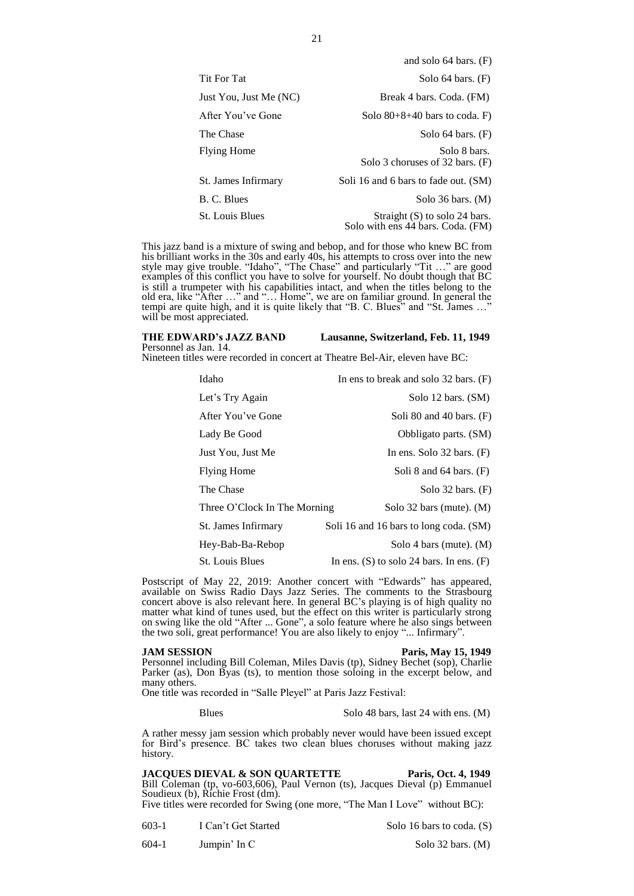|                        | and solo $64$ bars. $(F)$                                            |
|------------------------|----------------------------------------------------------------------|
| <b>Tit For Tat</b>     | Solo $64$ bars. $(F)$                                                |
| Just You, Just Me (NC) | Break 4 bars. Coda. (FM)                                             |
| After You've Gone      | Solo $80+8+40$ bars to coda. F)                                      |
| The Chase              | Solo $64$ bars. $(F)$                                                |
| <b>Flying Home</b>     | Solo 8 bars.<br>Solo 3 choruses of 32 bars. (F)                      |
| St. James Infirmary    | Soli 16 and 6 bars to fade out. (SM)                                 |
| B. C. Blues            | Solo $36$ bars. (M)                                                  |
| <b>St. Louis Blues</b> | Straight $(S)$ to solo 24 bars.<br>Solo with ens 44 bars. Coda. (FM) |
|                        |                                                                      |

This jazz band is a mixture of swing and bebop, and for those who knew BC from his brilliant works in the 30s and early 40s, his attempts to cross over into the new style may give trouble. "Idaho", "The Chase" and particularly "Tit …" are good examples of this conflict you have to solve for yourself. No doubt though that BC is still a trumpeter with his capabilities intact, and when the titles belong to the old era, like "After …" and "… Home", we are on familiar ground. In general the tempi are quite high, and it is quite likely that "B. C. Blues" and "St. James ..." will be most appreciated.

#### **THE EDWARD's JAZZ BAND Lausanne, Switzerland, Feb. 11, 1949**

### Personnel as Jan. 14.

Nineteen titles were recorded in concert at Theatre Bel-Air, eleven have BC:

| Idaho                        | In ens to break and solo $32$ bars. (F)      |
|------------------------------|----------------------------------------------|
| Let's Try Again              | Solo 12 bars. (SM)                           |
| After You've Gone            | Soli 80 and 40 bars. $(F)$                   |
| Lady Be Good                 | Obbligato parts. (SM)                        |
| Just You, Just Me            | In ens. Solo $32$ bars. $(F)$                |
| <b>Flying Home</b>           | Soli 8 and $64$ bars. $(F)$                  |
| The Chase                    | Solo $32$ bars. $(F)$                        |
| Three O'Clock In The Morning | Solo 32 bars (mute). $(M)$                   |
| St. James Infirmary          | Soli 16 and 16 bars to long coda. (SM)       |
| Hey-Bab-Ba-Rebop             | Solo 4 bars (mute). $(M)$                    |
| <b>St.</b> Louis Blues       | In ens. $(S)$ to solo 24 bars. In ens. $(F)$ |

Postscript of May 22, 2019: Another concert with "Edwards" has appeared, available on Swiss Radio Days Jazz Series. The comments to the Strasbourg concert above is also relevant here. In general BC's playing is of high quality no matter what kind of tunes used, but the effect on this writer is particularly strong on swing like the old "After ... Gone", a solo feature where he also sings between the two soli, great performance! You are also likely to enjoy "... Infirmary".

**JAM SESSION Paris, May 15, 1949**

Personnel including Bill Coleman, Miles Davis (tp), Sidney Bechet (sop), Charlie Parker (as), Don Byas (ts), to mention those soloing in the excerpt below, and many others.

One title was recorded in "Salle Pleyel" at Paris Jazz Festival:

#### Blues Solo 48 bars, last 24 with ens. (M)

A rather messy jam session which probably never would have been issued except for Bird's presence. BC takes two clean blues choruses without making jazz history.

# **JACQUES DIEVAL & SON QUARTETTE Paris, Oct. 4, 1949**

Bill Coleman (tp, vo-603,606), Paul Vernon (ts), Jacques Dieval (p) Emmanuel Soudieux (b), Richie Frost (dm).

Five titles were recorded for Swing (one more, "The Man I Love" without BC):

603-1 I Can't Get Started Solo 16 bars to coda. (S)

604-1 Jumpin' In C Solo 32 bars. (M)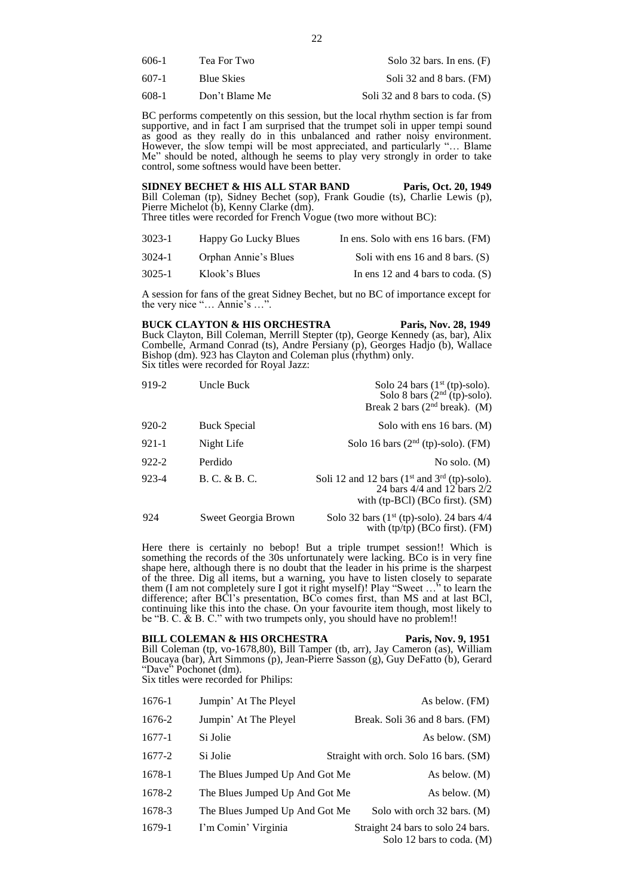| 606-1 | Tea For Two       | Solo 32 bars. In ens. $(F)$ |
|-------|-------------------|-----------------------------|
| 607-1 | <b>Blue Skies</b> | Soli 32 and 8 bars. (FM)    |

608-1 Don't Blame Me Soli 32 and 8 bars to coda. (S)

BC performs competently on this session, but the local rhythm section is far from supportive, and in fact I am surprised that the trumpet soli in upper tempi sound as good as they really do in this unbalanced and rather noisy environment. However, the slow tempi will be most appreciated, and particularly "... Blame Me" should be noted, although he seems to play very strongly in order to take control, some softness would have been better.

**SIDNEY BECHET & HIS ALL STAR BAND Paris, Oct. 20, 1949** Bill Coleman (tp), Sidney Bechet (sop), Frank Goudie (ts), Charlie Lewis (p), Pierre Michelot (b), Kenny Clarke (dm). Three titles were recorded for French Vogue (two more without BC):

| $3023 - 1$ | Happy Go Lucky Blues | In ens. Solo with ens 16 bars. (FM)    |
|------------|----------------------|----------------------------------------|
| 3024-1     | Orphan Annie's Blues | Soli with ens $16$ and $8$ bars. $(S)$ |
| 3025-1     | Klook's Blues        | In ens 12 and 4 bars to coda. $(S)$    |

A session for fans of the great Sidney Bechet, but no BC of importance except for the very nice "… Annie's …".

#### **BUCK CLAYTON & HIS ORCHESTRA** Paris, Nov. 28, 1949

Buck Clayton, Bill Coleman, Merrill Stepter (tp), George Kennedy (as, bar), Alix Combelle, Armand Conrad (ts), Andre Persiany (p), Georges Hadjo (b), Wallace Bishop (dm). 923 has Clayton and Coleman plus (rhythm) only. Six titles were recorded for Royal Jazz:

| 919-2     | Uncle Buck          | Solo 24 bars $(1st (tp)-solo)$ .<br>Solo 8 bars $(2nd (tp)-solo)$ .<br>Break 2 bars ( $2nd$ break). (M)              |
|-----------|---------------------|----------------------------------------------------------------------------------------------------------------------|
| 920-2     | <b>Buck Special</b> | Solo with ens 16 bars. (M)                                                                                           |
| 921-1     | Night Life          | Solo 16 bars $(2nd (tp)-solo)$ . (FM)                                                                                |
| $922 - 2$ | Perdido             | No solo. $(M)$                                                                                                       |
| 923-4     | B. C. & B. C.       | Soli 12 and 12 bars $(1st$ and $3rd$ (tp)-solo).<br>24 bars 4/4 and 12 bars 2/2<br>with $(tp-BCl)$ (BCo first). (SM) |
| 924       | Sweet Georgia Brown | Solo 32 bars $(1^{st} (tp)-solo)$ . 24 bars 4/4<br>with $(tp/tp)$ (BCo first). (FM)                                  |

Here there is certainly no bebop! But a triple trumpet session!! Which is something the records of the 30s unfortunately were lacking. BCo is in very fine shape here, although there is no doubt that the leader in his prime is the sharpest of the three. Dig all items, but a warning, you have to listen closely to separate them (I am not completely sure I got it right myself)! Play "Sweet …" to learn the difference; after BCl's presentation, BCo comes first, than MS and at last BCl, continuing like this into the chase. On your favourite item though, most likely to be "B. C. & B. C." with two trumpets only, you should have no problem!!

**BILL COLEMAN & HIS ORCHESTRA** Paris, Nov. 9, 1951 Bill Coleman (tp, vo-1678,80), Bill Tamper (tb, arr), Jay Cameron (as), William Boucaya (bar), Art Simmons (p), Jean-Pierre Sasson (g), Guy DeFatto (b), Gerard "Dave" Pochonet (dm). Six titles were recorded for Philips:

| 1676-1 | Jumpin' At The Pleyel          | As below. (FM)                                                 |
|--------|--------------------------------|----------------------------------------------------------------|
| 1676-2 | Jumpin' At The Pleyel          | Break. Soli 36 and 8 bars. (FM)                                |
| 1677-1 | Si Jolie                       | As below. (SM)                                                 |
| 1677-2 | Si Jolie                       | Straight with orch. Solo 16 bars. (SM)                         |
| 1678-1 | The Blues Jumped Up And Got Me | As below. (M)                                                  |
| 1678-2 | The Blues Jumped Up And Got Me | As below. (M)                                                  |
| 1678-3 | The Blues Jumped Up And Got Me | Solo with orch 32 bars. (M)                                    |
| 1679-1 | I'm Comin' Virginia            | Straight 24 bars to solo 24 bars.<br>Solo 12 bars to coda. (M) |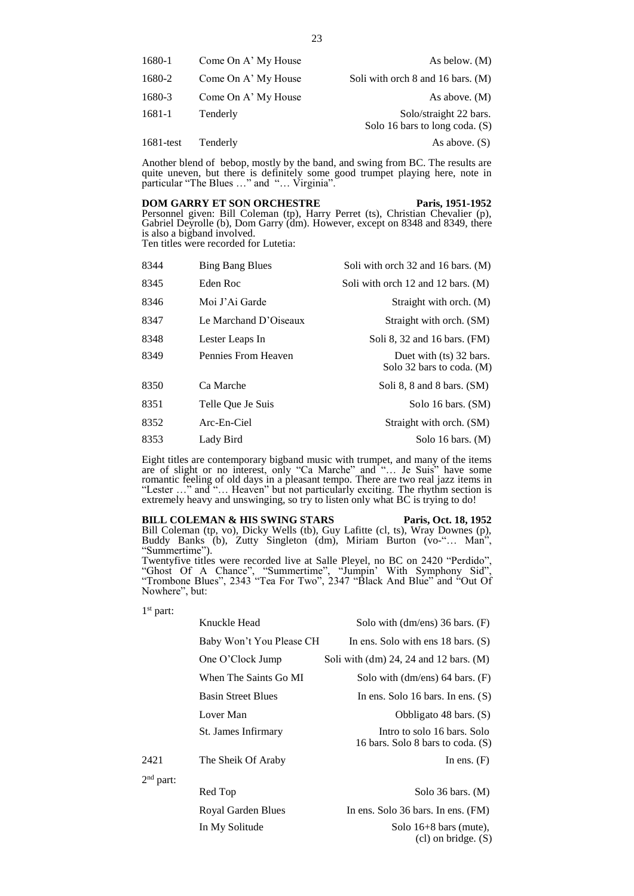| 1680-1    | Come On A' My House | As below. (M)                                              |
|-----------|---------------------|------------------------------------------------------------|
| 1680-2    | Come On A' My House | Soli with orch 8 and 16 bars. (M)                          |
| 1680-3    | Come On A' My House | As above. $(M)$                                            |
| 1681-1    | Tenderly            | Solo/straight 22 bars.<br>Solo 16 bars to long coda. $(S)$ |
| 1681-test | Tenderly            | As above. $(S)$                                            |

Another blend of bebop, mostly by the band, and swing from BC. The results are quite uneven, but there is definitely some good trumpet playing here, note in particular "The Blues …" and "… Virginia".

### **DOM GARRY ET SON ORCHESTRE Paris, 1951-1952**

Personnel given: Bill Coleman (tp), Harry Perret (ts), Christian Chevalier (p), Gabriel Deyrolle (b), Dom Garry (dm). However, except on 8348 and 8349, there is also a bigband involved. Ten titles were recorded for Lutetia:

| 8344 | <b>Bing Bang Blues</b> | Soli with orch 32 and 16 bars. (M)                   |
|------|------------------------|------------------------------------------------------|
| 8345 | Eden Roc               | Soli with orch 12 and 12 bars. (M)                   |
| 8346 | Moi J'Ai Garde         | Straight with orch. (M)                              |
| 8347 | Le Marchand D'Oiseaux  | Straight with orch. (SM)                             |
| 8348 | Lester Leaps In        | Soli 8, 32 and 16 bars. (FM)                         |
| 8349 | Pennies From Heaven    | Duet with (ts) 32 bars.<br>Solo 32 bars to coda. (M) |
| 8350 | Ca Marche              | Soli 8, 8 and 8 bars. $(SM)$                         |
| 8351 | Telle Oue Je Suis      | Solo 16 bars. (SM)                                   |
| 8352 | $Arc-En-Ciel$          | Straight with orch. (SM)                             |
| 8353 | Lady Bird              | Solo 16 bars. $(M)$                                  |

Eight titles are contemporary bigband music with trumpet, and many of the items are of slight or no interest, only "Ca Marche" and "… Je Suis" have some romantic feeling of old days in a pleasant tempo. There are two real jazz items in "Lester …" and "… Heaven" but not particularly exciting. The rhythm section is extremely heavy and unswinging, so try to listen only what BC is trying to do!

### BILL COLEMAN & HIS SWING STARS Paris, Oct. 18, 1952

(cl) on bridge. (S)

Bill Coleman (tp, vo), Dicky Wells (tb), Guy Lafitte (cl, ts), Wray Downes (p), Buddy Banks (b), Zutty Singleton (dm), Miriam Burton (vo-"… Man", "Summertime").

Twentyfive titles were recorded live at Salle Pleyel, no BC on 2420 "Perdido", "Ghost Of A Chance", "Summertime", "Jumpin' With Symphony Sid", "Trombone Blues", 2343 "Tea For Two", 2347 "Black And Blue" and "Out Of Nowhere", but:

| 91 | dart |
|----|------|
|----|------|

|             | Knuckle Head              | Solo with $dm/ens$ ) 36 bars. $(F)$                              |
|-------------|---------------------------|------------------------------------------------------------------|
|             | Baby Won't You Please CH  | In ens. Solo with ens $18 \text{ bars.}$ (S)                     |
|             | One O'Clock Jump          | Soli with $(dm)$ 24, 24 and 12 bars. $(M)$                       |
|             | When The Saints Go MI     | Solo with $dm/ens$ 64 bars. $(F)$                                |
|             | <b>Basin Street Blues</b> | In ens. Solo 16 bars. In ens. $(S)$                              |
|             | Lover Man                 | Obbligato 48 bars. (S)                                           |
|             | St. James Infirmary       | Intro to solo 16 bars. Solo<br>16 bars. Solo 8 bars to coda. (S) |
| 2421        | The Sheik Of Araby        | In ens. $(F)$                                                    |
| $2nd$ part: |                           |                                                                  |
|             | Red Top                   | Solo $36$ bars. $(M)$                                            |
|             | Royal Garden Blues        | In ens. Solo $36$ bars. In ens. $(FM)$                           |

In My Solitude Solo 16+8 bars (mute),